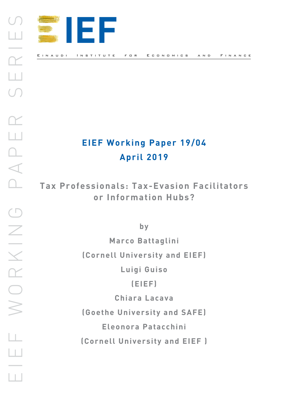

# **EIEF Working Paper 19/04 April 2019**

**Tax Professionals: Tax-Evasion Facilitators or Information Hubs?**

**by**

**Marco Battaglini (Cornell University and EIEF) Luigi Guiso**

**(EIEF)**

**Chiara Lacava**

**(Goethe University and SAFE)**

**Eleonora Patacchini**

**(Cornell University and EIEF )**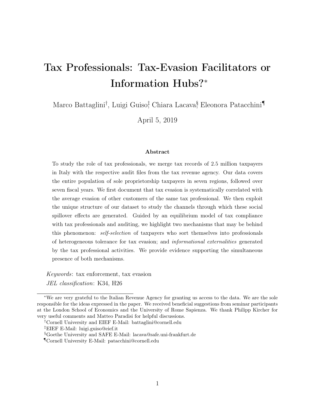# Tax Professionals: Tax-Evasion Facilitators or Information Hubs?<sup>∗</sup>

Marco Battaglini<sup>†</sup>, Luigi Guiso<sup>†</sup>, Chiara Lacava<sup>§</sup>, Eleonora Patacchini¶

April 5, 2019

#### Abstract

To study the role of tax professionals, we merge tax records of 2.5 million taxpayers in Italy with the respective audit files from the tax revenue agency. Our data covers the entire population of sole proprietorship taxpayers in seven regions, followed over seven fiscal years. We first document that tax evasion is systematically correlated with the average evasion of other customers of the same tax professional. We then exploit the unique structure of our dataset to study the channels through which these social spillover effects are generated. Guided by an equilibrium model of tax compliance with tax professionals and auditing, we highlight two mechanisms that may be behind this phenomenon: self-selection of taxpayers who sort themselves into professionals of heterogeneous tolerance for tax evasion; and informational externalities generated by the tax professional activities. We provide evidence supporting the simultaneous presence of both mechanisms.

Keywords: tax enforcement, tax evasion JEL classification: K34, H26

<sup>∗</sup>We are very grateful to the Italian Revenue Agency for granting us access to the data. We are the sole responsible for the ideas expressed in the paper. We received beneficial suggestions from seminar participants at the London School of Economics and the University of Rome Sapienza. We thank Philipp Kircher for very useful comments and Matteo Paradisi for helpful discussions.

<sup>†</sup>Cornell University and EIEF E-Mail: battaglini@cornell.edu

<sup>‡</sup>EIEF E-Mail: luigi.guiso@eief.it

<sup>§</sup>Goethe University and SAFE E-Mail: lacava@safe.uni-frankfurt.de

<sup>¶</sup>Cornell University E-Mail: patacchini@cornell.edu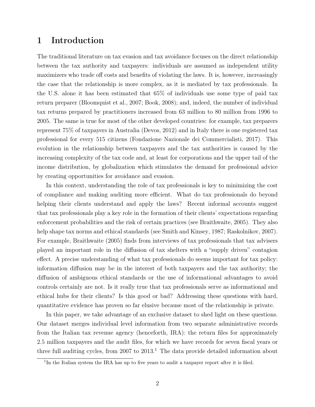## 1 Introduction

The traditional literature on tax evasion and tax avoidance focuses on the direct relationship between the tax authority and taxpayers: individuals are assumed as independent utility maximizers who trade off costs and benefits of violating the laws. It is, however, increasingly the case that the relationship is more complex, as it is mediated by tax professionals. In the U.S. alone it has been estimated that 65% of individuals use some type of paid tax return preparer (Bloomquist et al., 2007; Book, 2008); and, indeed, the number of individual tax returns prepared by practitioners increased from 63 million to 80 million from 1996 to 2005. The same is true for most of the other developed countries: for example, tax preparers represent 75% of taxpayers in Australia (Devos, 2012) and in Italy there is one registered tax professional for every 515 citizens (Fondazione Nazionale dei Commercialisti, 2017). This evolution in the relationship between taxpayers and the tax authorities is caused by the increasing complexity of the tax code and, at least for corporations and the upper tail of the income distribution, by globalization which stimulates the demand for professional advice by creating opportunities for avoidance and evasion.

In this context, understanding the role of tax professionals is key to minimizing the cost of compliance and making auditing more efficient. What do tax professionals do beyond helping their clients understand and apply the laws? Recent informal accounts suggest that tax professionals play a key role in the formation of their clients' expectations regarding enforcement probabilities and the risk of certain practices (see Braithwaite, 2005). They also help shape tax norms and ethical standards (see Smith and Kinsey, 1987; Raskolnikov, 2007). For example, Braithwaite (2005) finds from interviews of tax professionals that tax advisers played an important role in the diffusion of tax shelters with a "supply driven" contagion effect. A precise understanding of what tax professionals do seems important for tax policy: information diffusion may be in the interest of both taxpayers and the tax authority; the diffusion of ambiguous ethical standards or the use of informational advantages to avoid controls certainly are not. Is it really true that tax professionals serve as informational and ethical hubs for their clients? Is this good or bad? Addressing these questions with hard, quantitative evidence has proven so far elusive because most of the relationship is private.

In this paper, we take advantage of an exclusive dataset to shed light on these questions. Our dataset merges individual level information from two separate administrative records from the Italian tax revenue agency (henceforth, IRA): the return files for approximately 2.5 million taxpayers and the audit files, for which we have records for seven fiscal years or three full auditing cycles, from  $2007$  to  $2013<sup>1</sup>$ . The data provide detailed information about

<sup>&</sup>lt;sup>1</sup>In the Italian system the IRA has up to five years to audit a taxpayer report after it is filed.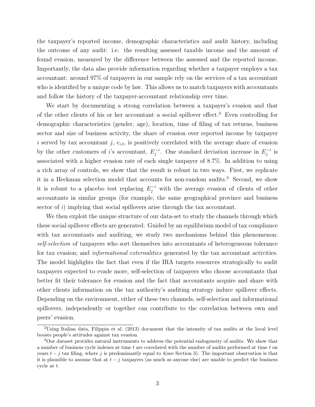the taxpayer's reported income, demographic characteristics and audit history, including the outcome of any audit: i.e. the resulting assessed taxable income and the amount of found evasion, measured by the difference between the assessed and the reported income. Importantly, the data also provide information regarding whether a taxpayer employs a tax accountant: around 97% of taxpayers in our sample rely on the services of a tax accountant who is identified by a unique code by law. This allows us to match taxpayers with accountants and follow the history of the taxpayer-accountant relationship over time.

We start by documenting a strong correlation between a taxpayer's evasion and that of the other clients of his or her accountant–a social spillover effect.<sup>2</sup> Even controlling for demographic characteristics (gender, age), location, time of filing of tax returns, business sector and size of business activity, the share of evasion over reported income by taxpayer i served by tax accountant j,  $e_{i,t}$ , is positively correlated with the average share of evasion by the other customers of i's accountant,  $E_i^{-i}$  $j^{-i}$ . One standard deviation increase in  $E_j^{-i}$ .  $j^{-i}$  is associated with a higher evasion rate of each single taxpayer of 8.7%. In addition to using a rich array of controls, we show that the result is robust in two ways. First, we replicate it in a Heckman selection model that accounts for non-random audits.<sup>3</sup> Second, we show it is robust to a placebo test replacing  $E_j^{-i}$  with the average evasion of clients of other accountants in similar groups (for example, the same geographical province and business sector of  $i$ ) implying that social spillovers arise through the tax accountant.

We then exploit the unique structure of our data-set to study the channels through which these social spillover effects are generated. Guided by an equilibrium model of tax compliance with tax accountants and auditing, we study two mechanisms behind this phenomenon: self-selection of taxpayers who sort themselves into accountants of heterogeneous tolerance for tax evasion; and *informational externalities* generated by the tax accountant activities. The model highlights the fact that even if the IRA targets resources strategically to audit taxpayers expected to evade more, self-selection of taxpayers who choose accountants that better fit their tolerance for evasion and the fact that accountants acquire and share with other clients information on the tax authority's auditing strategy induce spillover effects. Depending on the environment, either of these two channels, self-selection and informational spillovers, independently or together can contribute to the correlation between own and peers' evasion.

<sup>2</sup>Using Italian data, Filippin et al. (2013) document that the intensity of tax audits at the local level boosts people's attitudes against tax evasion.

<sup>3</sup>Our dataset provides natural instruments to address the potential endogeneity of audits. We show that a number of business cycle indexes at time  $t$  are correlated with the number of audits performed at time  $t$  on years  $t - j$  tax filing, where j is predominantly equal to 4(see Section 3). The important observation is that it is plausible to assume that at  $t - j$  taxpayers (as much as anyone else) are unable to predict the business cycle at t.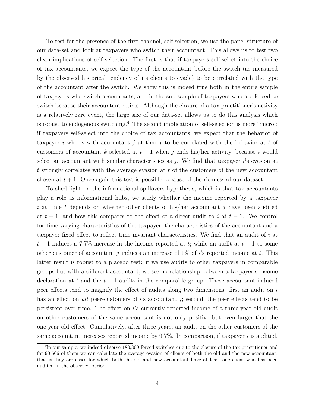To test for the presence of the first channel, self-selection, we use the panel structure of our data-set and look at taxpayers who switch their accountant. This allows us to test two clean implications of self selection. The first is that if taxpayers self-select into the choice of tax accountants, we expect the type of the accountant before the switch (as measured by the observed historical tendency of its clients to evade) to be correlated with the type of the accountant after the switch. We show this is indeed true both in the entire sample of taxpayers who switch accountants, and in the sub-sample of taxpayers who are forced to switch because their accountant retires. Although the closure of a tax practitioner's activity is a relatively rare event, the large size of our data-set allows us to do this analysis which is robust to endogenous switching.<sup>4</sup> The second implication of self-selection is more "micro": if taxpayers self-select into the choice of tax accountants, we expect that the behavior of taxpayer i who is with accountant j at time t to be correlated with the behavior at t of customers of accountant k selected at  $t + 1$  when j ends his/her activity, because i would select an accountant with similar characteristics as j. We find that taxpayer  $i$ 's evasion at t strongly correlates with the average evasion at t of the customers of the new accountant chosen at  $t + 1$ . Once again this test is possible because of the richness of our dataset.

To shed light on the informational spillovers hypothesis, which is that tax accountants play a role as informational hubs, we study whether the income reported by a taxpayer i at time t depends on whether other clients of his/her accountant j have been audited at  $t-1$ , and how this compares to the effect of a direct audit to i at  $t-1$ . We control for time-varying characteristics of the taxpayer, the characteristics of the accountant and a taxpayer fixed effect to reflect time invariant characteristics. We find that an audit of i at  $t-1$  induces a 7.7% increase in the income reported at t; while an audit at  $t-1$  to some other customer of accountant j induces an increase of  $1\%$  of i's reported income at t. This latter result is robust to a placebo test: if we use audits to other taxpayers in comparable groups but with a different accountant, we see no relationship between a taxpayer's income declaration at t and the  $t-1$  audits in the comparable group. These accountant-induced peer effects tend to magnify the effect of audits along two dimensions: first an audit on i has an effect on all peer-customers of i's accountant  $j$ ; second, the peer effects tend to be persistent over time. The effect on i's currently reported income of a three-year old audit on other customers of the same accountant is not only positive but even larger that the one-year old effect. Cumulatively, after three years, an audit on the other customers of the same accountant increases reported income by  $9.7\%$ . In comparison, if taxpayer i is audited,

<sup>&</sup>lt;sup>4</sup>In our sample, we indeed observe 183,300 forced switches due to the closure of the tax practitioner and for 90,666 of them we can calculate the average evasion of clients of both the old and the new accountant, that is they are cases for which both the old and new accountant have at least one client who has been audited in the observed period.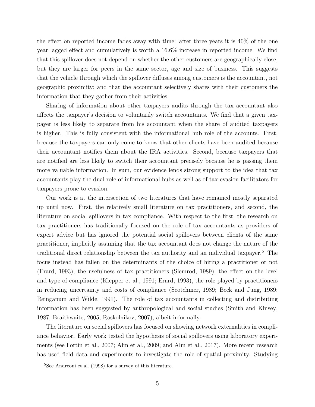the effect on reported income fades away with time: after three years it is 40% of the one year lagged effect and cumulatively is worth a 16.6% increase in reported income. We find that this spillover does not depend on whether the other customers are geographically close, but they are larger for peers in the same sector, age and size of business. This suggests that the vehicle through which the spillover diffuses among customers is the accountant, not geographic proximity; and that the accountant selectively shares with their customers the information that they gather from their activities.

Sharing of information about other taxpayers audits through the tax accountant also affects the taxpayer's decision to voluntarily switch accountants. We find that a given taxpayer is less likely to separate from his accountant when the share of audited taxpayers is higher. This is fully consistent with the informational hub role of the accounts. First, because the taxpayers can only come to know that other clients have been audited because their accountant notifies them about the IRA activities. Second, because taxpayers that are notified are less likely to switch their accountant precisely because he is passing them more valuable information. In sum, our evidence lends strong support to the idea that tax accountants play the dual role of informational hubs as well as of tax-evasion facilitators for taxpayers prone to evasion.

Our work is at the intersection of two literatures that have remained mostly separated up until now. First, the relatively small literature on tax practitioners, and second, the literature on social spillovers in tax compliance. With respect to the first, the research on tax practitioners has traditionally focused on the role of tax accountants as providers of expert advice but has ignored the potential social spillovers between clients of the same practitioner, implicitly assuming that the tax accountant does not change the nature of the traditional direct relationship between the tax authority and an individual taxpayer.<sup>5</sup> The focus instead has fallen on the determinants of the choice of hiring a practitioner or not (Erard, 1993), the usefulness of tax practitioners (Slemrod, 1989), the effect on the level and type of compliance (Klepper et al., 1991; Erard, 1993), the role played by practitioners in reducing uncertainty and costs of compliance (Scotchmer, 1989; Beck and Jung, 1989; Reinganum and Wilde, 1991). The role of tax accountants in collecting and distributing information has been suggested by anthropological and social studies (Smith and Kinsey, 1987; Braithwaite, 2005; Raskolnikov, 2007), albeit informally.

The literature on social spillovers has focused on showing network externalities in compliance behavior. Early work tested the hypothesis of social spillovers using laboratory experiments (see Fortin et al., 2007; Alm et al., 2009; and Alm et al., 2017). More recent research has used field data and experiments to investigate the role of spatial proximity. Studying

<sup>5</sup>See Andreoni et al. (1998) for a survey of this literature.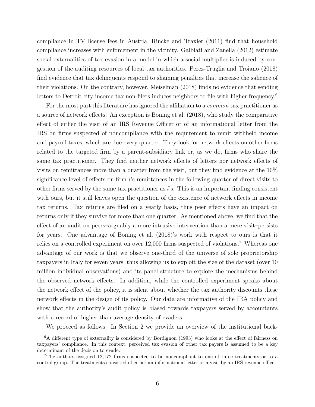compliance in TV license fees in Austria, Rincke and Traxler (2011) find that household compliance increases with enforcement in the vicinity. Galbiati and Zanella (2012) estimate social externalities of tax evasion in a model in which a social multiplier is induced by congestion of the auditing resources of local tax authorities. Perez-Truglia and Troiano (2018) find evidence that tax delinquents respond to shaming penalties that increase the salience of their violations. On the contrary, however, Meiselman (2018) finds no evidence that sending letters to Detroit city income tax non-filers induces neighbors to file with higher frequency.<sup>6</sup>

For the most part this literature has ignored the affiliation to a *common* tax practitioner as a source of network effects. An exception is Boning et al. (2018), who study the comparative effect of either the visit of an IRS Revenue Officer or of an informational letter from the IRS on firms suspected of noncompliance with the requirement to remit withheld income and payroll taxes, which are due every quarter. They look for network effects on other firms related to the targeted firm by a parent-subsidiary link or, as we do, firms who share the same tax practitioner. They find neither network effects of letters nor network effects of visits on remittances more than a quarter from the visit, but they find evidence at the 10% significance level of effects on firm i's remittances in the following quarter of direct visits to other firms served by the same tax practitioner as  $i$ 's. This is an important finding consistent with ours, but it still leaves open the question of the existence of network effects in income tax returns. Tax returns are filed on a yearly basis, thus peer effects have an impact on returns only if they survive for more than one quarter. As mentioned above, we find that the effect of an audit on peers–arguably a more intrusive intervention than a mere visit–persists for years. One advantage of Boning et al. (2018)'s work with respect to ours is that it relies on a controlled experiment on over 12,000 firms suspected of violations.<sup>7</sup> Whereas one advantage of our work is that we observe one-third of the universe of sole proprietorship taxpayers in Italy for seven years, thus allowing us to exploit the size of the dataset (over 10 million individual observations) and its panel structure to explore the mechanisms behind the observed network effects. In addition, while the controlled experiment speaks about the network effect of the policy, it is silent about whether the tax authority discounts these network effects in the design of its policy. Our data are informative of the IRA policy and show that the authority's audit policy is biased towards taxpayers served by accountants with a record of higher than average density of evaders.

We proceed as follows. In Section 2 we provide an overview of the institutional back-

<sup>&</sup>lt;sup>6</sup>A different type of externality is considered by Bordignon (1993) who looks at the effect of fairness on taxpayers' compliance. In this context, perceived tax evasion of other tax payers is assumed to be a key determinant of the decision to evade.

<sup>7</sup>The authors assigned 12,172 firms suspected to be noncompliant to one of three treatments or to a control group. The treatments consisted of either an informational letter or a visit by an IRS revenue officer.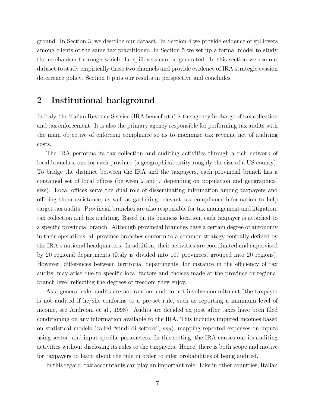ground. In Section 3, we describe our dataset. In Section 4 we provide evidence of spillovers among clients of the same tax practitioner. In Section 5 we set up a formal model to study the mechanism thorough which the spillovers can be generated. In this section we use our dataset to study empirically these two channels and provide evidence of IRA strategic evasion deterrence policy. Section 6 puts our results in perspective and concludes.

## 2 Institutional background

In Italy, the Italian Revenue Service (IRA henceforth) is the agency in charge of tax collection and tax enforcement. It is also the primary agency responsible for performing tax audits with the main objective of enforcing compliance so as to maximize tax revenue net of auditing costs.

The IRA performs its tax collection and auditing activities through a rich network of local branches, one for each province (a geographical entity roughly the size of a US county). To bridge the distance between the IRA and the taxpayers, each provincial branch has a contained set of local offices (between 2 and 7 depending on population and geographical size). Local offices serve the dual role of disseminating information among taxpayers and offering them assistance, as well as gathering relevant tax compliance information to help target tax audits. Provincial branches are also responsible for tax management and litigation, tax collection and tax auditing. Based on its business location, each taxpayer is attached to a specific provincial branch. Although provincial branches have a certain degree of autonomy in their operations, all province branches conform to a common strategy centrally defined by the IRA's national headquarters. In addition, their activities are coordinated and supervised by 20 regional departments (Italy is divided into 107 provinces, grouped into 20 regions). However, differences between territorial departments, for instance in the efficiency of tax audits, may arise due to specific local factors and choices made at the province or regional branch level reflecting the degrees of freedom they enjoy.

As a general rule, audits are not random and do not involve commitment (the taxpayer is not audited if he/she conforms to a pre-set rule, such as reporting a minimum level of income, see Andreoni et al., 1998). Audits are decided ex post after taxes have been filed conditioning on any information available to the IRA. This includes imputed incomes based on statistical models (called "studi di settore",  $ssy$ ), mapping reported expenses on inputs using sector- and input-specific parameters. In this setting, the IRA carries out its auditing activities without disclosing its rules to the taxpayers. Hence, there is both scope and motive for taxpayers to learn about the rule in order to infer probabilities of being audited.

In this regard, tax accountants can play an important role. Like in other countries, Italian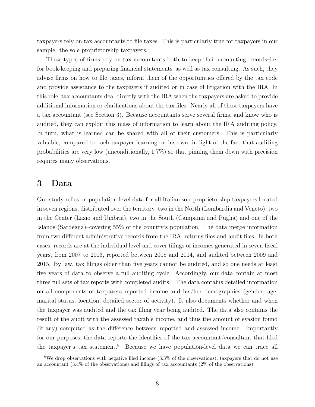taxpayers rely on tax accountants to file taxes. This is particularly true for taxpayers in our sample: the sole proprietorship taxpayers.

These types of firms rely on tax accountants both to keep their accounting records–i.e. for book-keeping and preparing financial statements–as well as tax consulting. As such, they advise firms on how to file taxes, inform them of the opportunities offered by the tax code and provide assistance to the taxpayers if audited or in case of litigation with the IRA. In this role, tax accountants deal directly with the IRA when the taxpayers are asked to provide additional information or clarifications about the tax files. Nearly all of these taxpayers have a tax accountant (see Section 3). Because accountants serve several firms, and know who is audited, they can exploit this mass of information to learn about the IRA auditing policy. In turn, what is learned can be shared with all of their customers. This is particularly valuable, compared to each taxpayer learning on his own, in light of the fact that auditing probabilities are very low (unconditionally, 1.7%) so that pinning them down with precision requires many observations.

### 3 Data

Our study relies on population-level data for all Italian sole proprietorship taxpayers located in seven regions, distributed over the territory–two in the North (Lombardia and Veneto), two in the Center (Lazio and Umbria), two in the South (Campania and Puglia) and one of the Islands (Sardegna)–covering 55% of the country's population. The data merge information from two different administrative records from the IRA: returns files and audit files. In both cases, records are at the individual level and cover filings of incomes generated in seven fiscal years, from 2007 to 2013, reported between 2008 and 2014, and audited between 2009 and 2015. By law, tax filings older than five years cannot be audited, and so one needs at least five years of data to observe a full auditing cycle. Accordingly, our data contain at most three full sets of tax reports with completed audits. The data contains detailed information on all components of taxpayers reported income and his/her demographics (gender, age, marital status, location, detailed sector of activity). It also documents whether and when the taxpayer was audited and the tax filing year being audited. The data also contains the result of the audit with the assessed taxable income, and thus the amount of evasion found (if any) computed as the difference between reported and assessed income. Importantly for our purposes, the data reports the identifier of the tax accountant/consultant that filed the taxpayer's tax statement.<sup>8</sup> Because we have population-level data we can trace all

<sup>8</sup>We drop observations with negative filed income (3.3% of the observations), taxpayers that do not use an accountant (3.4% of the observations) and filings of tax accountants (2% of the observations).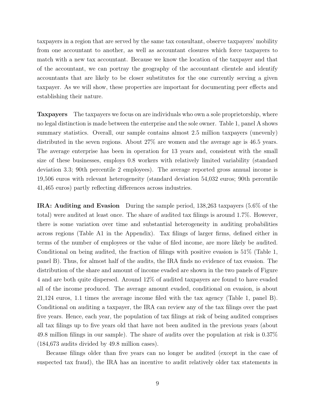taxpayers in a region that are served by the same tax consultant, observe taxpayers' mobility from one accountant to another, as well as accountant closures which force taxpayers to match with a new tax accountant. Because we know the location of the taxpayer and that of the accountant, we can portray the geography of the accountant clientele and identify accountants that are likely to be closer substitutes for the one currently serving a given taxpayer. As we will show, these properties are important for documenting peer effects and establishing their nature.

Taxpayers The taxpayers we focus on are individuals who own a sole proprietorship, where no legal distinction is made between the enterprise and the sole owner. Table 1, panel A shows summary statistics. Overall, our sample contains almost 2.5 million taxpayers (unevenly) distributed in the seven regions. About 27% are women and the average age is 46.5 years. The average enterprise has been in operation for 13 years and, consistent with the small size of these businesses, employs 0.8 workers with relatively limited variability (standard deviation 3.3; 90th percentile 2 employees). The average reported gross annual income is 19,506 euros with relevant heterogeneity (standard deviation 54,032 euros; 90th percentile 41,465 euros) partly reflecting differences across industries.

IRA: Auditing and Evasion During the sample period, 138,263 taxpayers (5.6% of the total) were audited at least once. The share of audited tax filings is around 1.7%. However, there is some variation over time and substantial heterogeneity in auditing probabilities across regions (Table A1 in the Appendix). Tax filings of larger firms, defined either in terms of the number of employees or the value of filed income, are more likely be audited. Conditional on being audited, the fraction of filings with positive evasion is 51% (Table 1, panel B). Thus, for almost half of the audits, the IRA finds no evidence of tax evasion. The distribution of the share and amount of income evaded are shown in the two panels of Figure 4 and are both quite dispersed. Around 12% of audited taxpayers are found to have evaded all of the income produced. The average amount evaded, conditional on evasion, is about 21,124 euros, 1.1 times the average income filed with the tax agency (Table 1, panel B). Conditional on auditing a taxpayer, the IRA can review any of the tax filings over the past five years. Hence, each year, the population of tax filings at risk of being audited comprises all tax filings up to five years old that have not been audited in the previous years (about 49.8 million filings in our sample). The share of audits over the population at risk is 0.37% (184,673 audits divided by 49.8 million cases).

Because filings older than five years can no longer be audited (except in the case of suspected tax fraud), the IRA has an incentive to audit relatively older tax statements in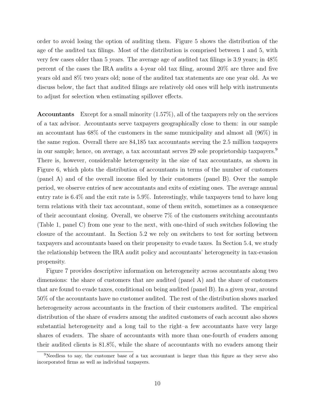order to avoid losing the option of auditing them. Figure 5 shows the distribution of the age of the audited tax filings. Most of the distribution is comprised between 1 and 5, with very few cases older than 5 years. The average age of audited tax filings is 3.9 years; in 48% percent of the cases the IRA audits a 4-year old tax filing, around 20% are three and five years old and 8% two years old; none of the audited tax statements are one year old. As we discuss below, the fact that audited filings are relatively old ones will help with instruments to adjust for selection when estimating spillover effects.

Accountants Except for a small minority (1.57%), all of the taxpayers rely on the services of a tax advisor. Accountants serve taxpayers geographically close to them: in our sample an accountant has 68% of the customers in the same municipality and almost all (96%) in the same region. Overall there are 84,185 tax accountants serving the 2.5 million taxpayers in our sample; hence, on average, a tax accountant serves 29 sole proprietorship taxpayers.<sup>9</sup> There is, however, considerable heterogeneity in the size of tax accountants, as shown in Figure 6, which plots the distribution of accountants in terms of the number of customers (panel A) and of the overall income filed by their customers (panel B). Over the sample period, we observe entries of new accountants and exits of existing ones. The average annual entry rate is 6.4% and the exit rate is 5.9%. Interestingly, while taxpayers tend to have long term relations with their tax accountant, some of them switch, sometimes as a consequence of their accountant closing. Overall, we observe 7% of the customers switching accountants (Table 1, panel C) from one year to the next, with one-third of such switches following the closure of the accountant. In Section 5.2 we rely on switchers to test for sorting between taxpayers and accountants based on their propensity to evade taxes. In Section 5.4, we study the relationship between the IRA audit policy and accountants' heterogeneity in tax-evasion propensity.

Figure 7 provides descriptive information on heterogeneity across accountants along two dimensions: the share of customers that are audited (panel A) and the share of customers that are found to evade taxes, conditional on being audited (panel B). In a given year, around 50% of the accountants have no customer audited. The rest of the distribution shows marked heterogeneity across accountants in the fraction of their customers audited. The empirical distribution of the share of evaders among the audited customers of each account also shows substantial heterogeneity and a long tail to the right–a few accountants have very large shares of evaders. The share of accountants with more than one-fourth of evaders among their audited clients is 81.8%, while the share of accountants with no evaders among their

<sup>&</sup>lt;sup>9</sup>Needless to say, the customer base of a tax accountant is larger than this figure as they serve also incorporated firms as well as individual taxpayers.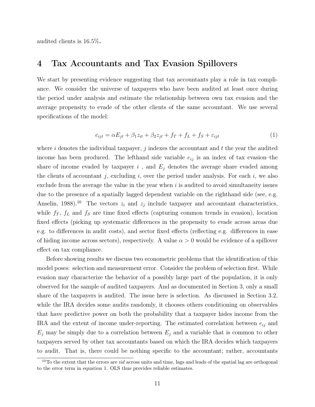audited clients is 16.5%.

## 4 Tax Accountants and Tax Evasion Spillovers

We start by presenting evidence suggesting that tax accountants play a role in tax compliance. We consider the universe of taxpayers who have been audited at least once during the period under analysis and estimate the relationship between own tax evasion and the average propensity to evade of the other clients of the same accountant. We use several specifications of the model:

$$
e_{ijt} = \alpha E_{jt} + \beta_1 z_{it} + \beta_2 z_{jt} + f_T + f_L + f_S + \varepsilon_{ijt}
$$
\n<sup>(1)</sup>

where i denotes the individual taxpayer, j indexes the accountant and  $t$  the year the audited income has been produced. The lefthand side variable  $e_{ij}$  is an index of tax evasion–the share of income evaded by taxpayer  $i$ , and  $E_j$  denotes the average share evaded among the clients of accountant j, excluding i, over the period under analysis. For each i, we also exclude from the average the value in the year when  $i$  is audited to avoid simultaneity issues due to the presence of a spatially lagged dependent variable on the righthand side (see, e.g. Anselin, 1988).<sup>10</sup> The vectors  $z_i$  and  $z_j$  include taxpayer and accountant characteristics, while  $f_T$ ,  $f_L$  and  $f_S$  are time fixed effects (capturing common trends in evasion), location fixed effects (picking up systematic differences in the propensity to evade across areas due e.g. to differences in audit costs), and sector fixed effects (reflecting e.g. differences in ease of hiding income across sectors), respectively. A value  $\alpha > 0$  would be evidence of a spillover effect on tax compliance.

Before showing results we discuss two econometric problems that the identification of this model poses: selection and measurement error. Consider the problem of selection first. While evasion may characterize the behavior of a possibly large part of the population, it is only observed for the sample of audited taxpayers. And as documented in Section 3, only a small share of the taxpayers is audited. The issue here is selection. As discussed in Section 3.2, while the IRA decides some audits randomly, it chooses others conditioning on observables that have predictive power on both the probability that a taxpayer hides income from the IRA and the extent of income under-reporting. The estimated correlation between  $e_{ij}$  and  $E_j$  may be simply due to a correlation between  $E_j$  and a variable that is common to other taxpayers served by other tax accountants based on which the IRA decides which taxpayers to audit. That is, there could be nothing specific to the accountant; rather, accountants

 $10$ To the extent that the errors are *iid* across units and time, lags and leads of the spatial lag are orthogonal to the error term in equation 1. OLS thus provides reliable estimates.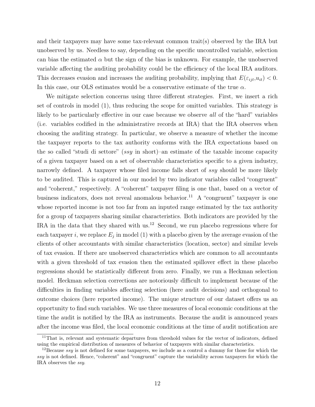and their taxpayers may have some tax-relevant common trait(s) observed by the IRA but unobserved by us. Needless to say, depending on the specific uncontrolled variable, selection can bias the estimated  $\alpha$  but the sign of the bias is unknown. For example, the unobserved variable affecting the auditing probability could be the efficiency of the local IRA auditors. This decreases evasion and increases the auditing probability, implying that  $E(\varepsilon_{i,t},u_{it}) < 0$ . In this case, our OLS estimates would be a conservative estimate of the true  $\alpha$ .

We mitigate selection concerns using three different strategies. First, we insert a rich set of controls in model (1), thus reducing the scope for omitted variables. This strategy is likely to be particularly effective in our case because we observe *all* of the "hard" variables (i.e. variables codified in the administrative records at IRA) that the IRA observes when choosing the auditing strategy. In particular, we observe a measure of whether the income the taxpayer reports to the tax authority conforms with the IRA expectations based on the so called "studi di settore" (ssy in short)–an estimate of the taxable income capacity of a given taxpayer based on a set of observable characteristics specific to a given industry, narrowly defined. A taxpayer whose filed income falls short of ssy should be more likely to be audited. This is captured in our model by two indicator variables called "congruent" and "coherent," respectively. A "coherent" taxpayer filing is one that, based on a vector of business indicators, does not reveal anomalous behavior.<sup>11</sup> A "congruent" taxpayer is one whose reported income is not too far from an inputed range estimated by the tax authority for a group of taxpayers sharing similar characteristics. Both indicators are provided by the IRA in the data that they shared with us.<sup>12</sup> Second, we run placebo regressions where for each taxpayer *i*, we replace  $E_j$  in model (1) with a placebo given by the average evasion of the clients of other accountants with similar characteristics (location, sector) and similar levels of tax evasion. If there are unobserved characteristics which are common to all accountants with a given threshold of tax evasion then the estimated spillover effect in these placebo regressions should be statistically different from zero. Finally, we run a Heckman selection model. Heckman selection corrections are notoriously difficult to implement because of the difficulties in finding variables affecting selection (here audit decisions) and orthogonal to outcome choices (here reported income). The unique structure of our dataset offers us an opportunity to find such variables. We use three measures of local economic conditions at the time the audit is notified by the IRA as instruments. Because the audit is announced years after the income was filed, the local economic conditions at the time of audit notification are

<sup>&</sup>lt;sup>11</sup>That is, relevant and systematic departures from threshold values for the vector of indicators, defined using the empirical distribution of measures of behavior of taxpayers with similar characteristics.

<sup>&</sup>lt;sup>12</sup>Because ssy is not defined for some taxpayers, we include as a control a dummy for those for which the ssy is not defined. Hence, "coherent" and "congruent" capture the variability across taxpayers for which the IRA observes the ssy.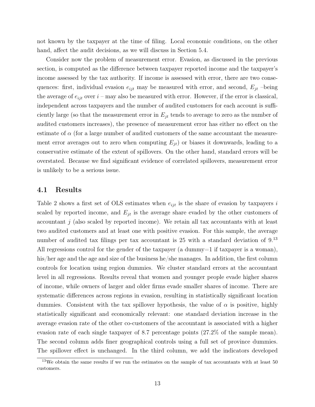not known by the taxpayer at the time of filing. Local economic conditions, on the other hand, affect the audit decisions, as we will discuss in Section  $5.4$ .

Consider now the problem of measurement error. Evasion, as discussed in the previous section, is computed as the difference between taxpayer reported income and the taxpayer's income assessed by the tax authority. If income is assessed with error, there are two consequences: first, individual evasion  $e_{ijt}$  may be measured with error, and second,  $E_{jt}$  –being the average of  $e_{ijt}$  over  $i$  – may also be measured with error. However, if the error is classical, independent across taxpayers and the number of audited customers for each account is sufficiently large (so that the measurement error in  $E_{jt}$  tends to average to zero as the number of audited customers increases), the presence of measurement error has either no effect on the estimate of  $\alpha$  (for a large number of audited customers of the same accountant the measurement error averages out to zero when computing  $E_{jt}$ ) or biases it downwards, leading to a conservative estimate of the extent of spillovers. On the other hand, standard errors will be overstated. Because we find significant evidence of correlated spillovers, measurement error is unlikely to be a serious issue.

#### 4.1 Results

Table 2 shows a first set of OLS estimates when  $e_{ijt}$  is the share of evasion by taxpayers i scaled by reported income, and  $E_{jt}$  is the average share evaded by the other customers of accountant  $j$  (also scaled by reported income). We retain all tax accountants with at least two audited customers and at least one with positive evasion. For this sample, the average number of audited tax filings per tax accountant is 25 with a standard deviation of 9.<sup>13</sup> All regressions control for the gender of the taxpayer (a dummy=1 if taxpayer is a woman), his/her age and the age and size of the business he/she manages. In addition, the first column controls for location using region dummies. We cluster standard errors at the accountant level in all regressions. Results reveal that women and younger people evade higher shares of income, while owners of larger and older firms evade smaller shares of income. There are systematic differences across regions in evasion, resulting in statistically significant location dummies. Consistent with the tax spillover hypothesis, the value of  $\alpha$  is positive, highly statistically significant and economically relevant: one standard deviation increase in the average evasion rate of the other co-customers of the accountant is associated with a higher evasion rate of each single taxpayer of 8.7 percentage points (27.2% of the sample mean). The second column adds finer geographical controls using a full set of province dummies. The spillover effect is unchanged. In the third column, we add the indicators developed

 $13$ We obtain the same results if we run the estimates on the sample of tax accountants with at least  $50$ customers.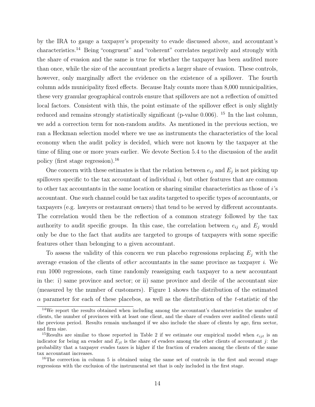by the IRA to gauge a taxpayer's propensity to evade discussed above, and accountant's characteristics.<sup>14</sup> Being "congruent" and "coherent" correlates negatively and strongly with the share of evasion and the same is true for whether the taxpayer has been audited more than once, while the size of the accountant predicts a larger share of evasion. These controls, however, only marginally affect the evidence on the existence of a spillover. The fourth column adds municipality fixed effects. Because Italy counts more than 8,000 municipalities, these very granular geographical controls ensure that spillovers are not a reflection of omitted local factors. Consistent with this, the point estimate of the spillover effect is only slightly reduced and remains strongly statistically significant (p-value 0.006). <sup>15</sup> In the last column, we add a correction term for non-random audits. As mentioned in the previous section, we ran a Heckman selection model where we use as instruments the characteristics of the local economy when the audit policy is decided, which were not known by the taxpayer at the time of filing one or more years earlier. We devote Section 5.4 to the discussion of the audit policy (first stage regression).<sup>16</sup>

One concern with these estimates is that the relation between  $e_{ij}$  and  $E_j$  is not picking up spillovers specific to the tax accountant of individual  $i$ , but other features that are common to other tax accountants in the same location or sharing similar characteristics as those of i's accountant. One such channel could be tax audits targeted to specific types of accountants, or taxpayers (e.g. lawyers or restaurant owners) that tend to be served by different accountants. The correlation would then be the reflection of a common strategy followed by the tax authority to audit specific groups. In this case, the correlation between  $e_{ij}$  and  $E_j$  would only be due to the fact that audits are targeted to groups of taxpayers with some specific features other than belonging to a given accountant.

To assess the validity of this concern we run placebo regressions replacing  $E_i$  with the average evasion of the clients of other accountants in the same province as taxpayer i. We run 1000 regressions, each time randomly reassigning each taxpayer to a new accountant in the: i) same province and sector; or ii) same province and decile of the accountant size (measured by the number of customers). Figure 1 shows the distribution of the estimated  $\alpha$  parameter for each of these placebos, as well as the distribution of the t-statistic of the

<sup>&</sup>lt;sup>14</sup>We report the results obtained when including among the accountant's characteristics the number of clients, the number of provinces with at least one client, and the share of evaders over audited clients until the previous period. Results remain unchanged if we also include the share of clients by age, firm sector, and firm size.

<sup>&</sup>lt;sup>15</sup>Results are similar to those reported in Table 2 if we estimate our empirical model when  $e_{ijt}$  is an indicator for being an evader and  $E_{it}$  is the share of evaders among the other clients of accountant j: the probability that a taxpayer evades taxes is higher if the fraction of evaders among the clients of the same tax accountant increases.

<sup>&</sup>lt;sup>16</sup>The correction in column 5 is obtained using the same set of controls in the first and second stage regressions with the exclusion of the instrumental set that is only included in the first stage.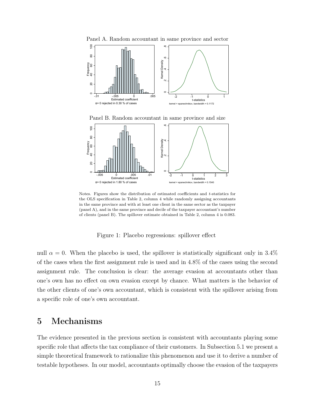

Panel B. Random accountant in same province and size



Notes. Figures show the distribution of estimated coefficients and  $t$ -statistics for the OLS specification in Table 2, column 4 while randomly assigning accountants in the same province and with at least one client in the same sector as the taxpayer (panel A), and in the same province and decile of the taxpayer accountant's number of clients (panel B). The spillover estimate obtained in Table 2, column 4 is 0.083.

Figure 1: Placebo regressions: spillover effect

null  $\alpha = 0$ . When the placebo is used, the spillover is statistically significant only in 3.4% of the cases when the first assignment rule is used and in 4.8% of the cases using the second assignment rule. The conclusion is clear: the average evasion at accountants other than one's own has no effect on own evasion except by chance. What matters is the behavior of the other clients of one's own accountant, which is consistent with the spillover arising from a specific role of one's own accountant.

## 5 Mechanisms

The evidence presented in the previous section is consistent with accountants playing some specific role that affects the tax compliance of their customers. In Subsection 5.1 we present a simple theoretical framework to rationalize this phenomenon and use it to derive a number of testable hypotheses. In our model, accountants optimally choose the evasion of the taxpayers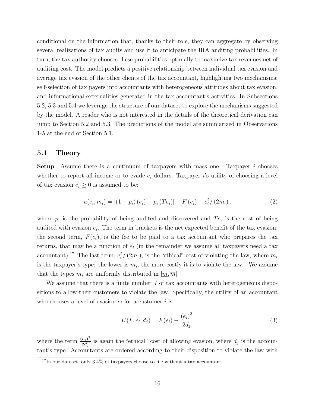conditional on the information that, thanks to their role, they can aggregate by observing several realizations of tax audits and use it to anticipate the IRA auditing probabilities. In turn, the tax authority chooses these probabilities optimally to maximize tax revenues net of auditing cost. The model predicts a positive relationship between individual tax evasion and average tax evasion of the other clients of the tax accountant, highlighting two mechanisms: self-selection of tax payers into accountants with heterogeneous attitudes about tax evasion, and informational externalities generated in the tax accountant's activities. In Subsections 5.2, 5.3 and 5.4 we leverage the structure of our dataset to explore the mechanisms suggested by the model. A reader who is not interested in the details of the theoretical derivation can jump to Section 5.2 and 5.3. The predictions of the model are summarized in Observations 1-5 at the end of Section 5.1.

#### 5.1 Theory

Setup Assume there is a continuum of taxpayers with mass one. Taxpayer i chooses whether to report all income or to evade  $e_i$  dollars. Taxpayer is utility of choosing a level of tax evasion  $e_i \geq 0$  is assumed to be:

$$
u(e_i, m_i) = [(1 - p_i)(e_i) - p_i(Te_i)] - F(e_i) - e_i^2/(2m_i).
$$
 (2)

where  $p_i$  is the probability of being audited and discovered and  $Te_i$  is the cost of being audited with evasion  $e_i$ . The term in brackets is the net expected benefit of the tax evasion; the second term,  $F(e_i)$ , is the fee to be paid to a tax accountant who prepares the tax returns, that may be a function of  $e_i$  (in the remainder we assume all taxpayers need a tax accountant).<sup>17</sup> The last term,  $e_i^2/(2m_i)$ , is the "ethical" cost of violating the law, where  $m_i$ is the taxpayer's type: the lower is  $m_i$ , the more costly it is to violate the law. We assume that the types  $m_i$  are uniformly distributed in  $[m, \overline{m}]$ .

We assume that there is a finite number  $J$  of tax accountants with heterogeneous dispositions to allow their customers to violate the law. Specifically, the utility of an accountant who chooses a level of evasion  $e_i$  for a customer i is:

$$
U(F, e_i, d_j) = F(e_i) - \frac{(e_i)^2}{2d_j}
$$
\n(3)

where the term  $\frac{(e_i)^2}{2d_i}$  $\frac{e_i}{2d_j}$  is again the "ethical" cost of allowing evasion, where  $d_j$  is the accountant's type. Accountants are ordered according to their disposition to violate the law with

 $17$ In our dataset, only 3.4% of taxpayers choose to file without a tax accountant.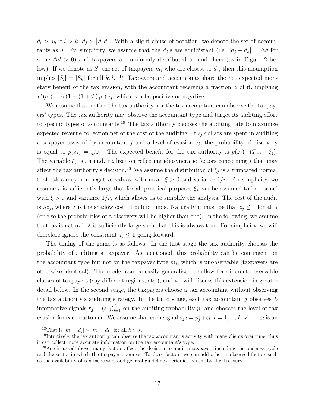$d_l > d_k$  if  $l > k$ ,  $d_j \in [d, \overline{d}]$ . With a slight abuse of notation, we denote the set of accountants as J. For simplicity, we assume that the  $d_j$ 's are equidistant (i.e.  $|d_j - d_k| = \Delta d$  for some  $\Delta d > 0$ ) and taxpayers are uniformly distributed around them (as in Figure 2 below). If we denote as  $S_j$  the set of taxpayers  $m_i$  who are closest to  $d_j$ , then this assumption implies  $|S_i| = |S_k|$  for all k, l. <sup>18</sup> Taxpayers and accountants share the net expected monetary benefit of the tax evasion, with the accountant receiving a fraction  $\alpha$  of it, implying  $F(e_j) = \alpha (1 - (1 + T) p_j) e_j$ , which can be positive or negative.

We assume that neither the tax authority nor the tax accountant can observe the taxpayers' types. The tax authority may observe the accountant type and target its auditing effort to specific types of accountants.<sup>19</sup> The tax authority chooses the auditing rate to maximize expected revenue collection net of the cost of the auditing. If  $z_i$  dollars are spent in auditing a taxpayer assisted by accountant  $j$  and a level of evasion  $e_j$ , the probability of discovery is equal to  $p(z_j) = \sqrt{z_j}$ . The expected benefit for the tax authority is  $p(z_j) \cdot (Te_j + \xi_j)$ . The variable  $\xi_j$  is an i.i.d. realization reflecting idiosyncratic factors concerning j that may affect the tax authority's decision.<sup>20</sup> We assume the distribution of  $\xi_j$  is a truncated normal that takes only non-negative values, with mean  $\bar{\xi} > 0$  and variance  $1/r$ . For simplicity, we assume r is sufficiently large that for all practical purposes  $\xi_i$  can be assumed to be normal with  $\bar{\xi} > 0$  and variance  $1/r$ , which allows us to simplify the analysis. The cost of the audit is  $\lambda z_j$ , where  $\lambda$  is the shadow cost of public funds. Naturally it must be that  $z_j \leq 1$  for all j (or else the probabilities of a discovery will be higher than one). In the following, we assume that, as is natural,  $\lambda$  is sufficiently large such that this is always true. For simplicity, we will therefore ignore the constraint  $z_i \leq 1$  going forward.

The timing of the game is as follows. In the first stage the tax authority chooses the probability of auditing a taxpayer. As mentioned, this probability can be contingent on the accountant type but not on the taxpayer type  $m_i$ , which is unobservable (taxpayers are otherwise identical). The model can be easily generalized to allow for different observable classes of taxpayers (say different regions, etc.), and we will discuss this extension in greater detail below. In the second stage, the taxpayers choose a tax accountant without observing the tax authority's auditing strategy. In the third stage, each tax accountant  $j$  observes  $L$ informative signals  $\mathbf{s_j} = (s_{j,l})_{l=1}^L$  on the auditing probability  $p_j$  and chooses the level of tax evasion for each customer. We assume that each signal  $s_{j,l} = p_j^* + \varepsilon_l$ ,  $l = 1, ..., L$  where  $\varepsilon_l$  is an

<sup>&</sup>lt;sup>18</sup>That is  $|m_i - d_j| \le |m_i - d_k|$  for all  $k \in J$ .

<sup>&</sup>lt;sup>19</sup>Intuitively, the tax authority can observe the tax accountant's activity with many clients over time, thus it can collect more accurate information on the tax accountant's type.

 $^{20}$ As discussed above, many factors affect the decision to audit a taxpayer, including the business cycle and the sector in which the taxpayer operates. To these factors, we can add other unobserved factors such as the availability of tax inspectors and general guidelines periodically sent by the Treasury.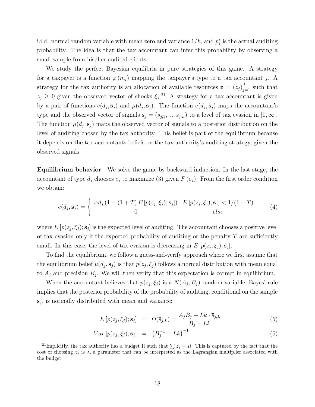i.i.d. normal random variable with mean zero and variance  $1/k$ , and  $p_j^*$  is the actual auditing probability. The idea is that the tax accountant can infer this probability by observing a small sample from his/her audited clients.

We study the perfect Bayesian equilibria in pure strategies of this game. A strategy for a taxpayer is a function  $\varphi(m_i)$  mapping the taxpayer's type to a tax accountant j. A strategy for the tax authority is an allocation of available resources  $\mathbf{z} = (z_j)_{j=1}^J$  such that  $z_j \geq 0$  given the observed vector of shocks  $\xi_j$ <sup>21</sup> A strategy for a tax accountant is given by a pair of functions  $e(d_j, s_j)$  and  $\mu(d_j, s_j)$ . The function  $e(d_j, s_j)$  maps the accountant's type and the observed vector of signals  $\mathbf{s}_j = (s_{j,1},...,s_{j,L})$  to a level of tax evasion in  $[0,\infty]$ . The function  $\mu(d_j, s_j)$  maps the observed vector of signals to a posterior distribution on the level of auditing chosen by the tax authority. This belief is part of the equilibrium because it depends on the tax accountants beliefs on the tax authority's auditing strategy, given the observed signals.

Equilibrium behavior We solve the game by backward induction. In the last stage, the accountant of type  $d_j$  chooses  $e_j$  to maximize (3) given  $F(e_j)$ . From the first order condition we obtain:

$$
e(d_j, \mathbf{s}_j) = \begin{cases} \alpha d_j (1 - (1+T) E [p(z_j, \xi_j); \mathbf{s}_j]) & E [p(z_j, \xi_j); \mathbf{s}_j] < 1/(1+T) \\ 0 & else \end{cases}
$$
(4)

where  $E[p(z_j, \xi_j); \mathbf{s}_j]$  is the expected level of auditing. The accountant chooses a positive level of tax evasion only if the expected probability of auditing or the penalty  $T$  are sufficiently small. In this case, the level of tax evasion is decreasing in  $E[p(z_j, \xi_j); \mathbf{s}_j]$ .

To find the equilibrium, we follow a guess-and-verify approach where we first assume that the equilibrium belief  $\mu(d_j, s_j)$  is that  $p(z_j, \xi_j)$  follows a normal distribution with mean equal to  $A_j$  and precision  $B_j$ . We will then verify that this expectation is correct in equilibrium.

When the accountant believes that  $p(z_j, \xi_j)$  is a  $N(A_j, B_j)$  random variable, Bayes' rule implies that the posterior probability of the probability of auditing, conditional on the sample  $s_j$ , is normally distributed with mean and variance:

$$
E[p(z_j, \xi_j); \mathbf{s}_j] = \Phi(\overline{s}_{j,L}) = \frac{A_j B_j + Lk \cdot \overline{s}_{j,L}}{B_j + Lk}
$$
(5)

$$
Var\left[p(z_j, \xi_j); \mathbf{s}_j\right] = \left(B_j^{-1} + Lk\right)^{-1} \tag{6}
$$

<sup>&</sup>lt;sup>21</sup>Implicitly, the tax authority has a budget R such that  $\sum z_j = R$ . This is captured by the fact that the cost of choosing  $z_j$  is  $\lambda$ , a parameter that can be interpreted as the Lagrangian multiplier associated with the budget.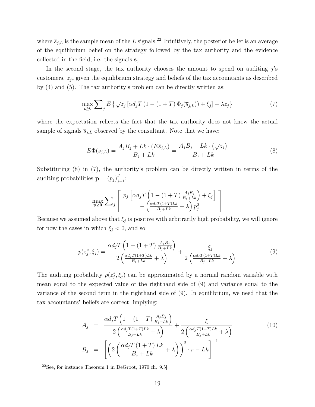where  $\overline{s}_{j,L}$  is the sample mean of the L signals.<sup>22</sup> Intuitively, the posterior belief is an average of the equilibrium belief on the strategy followed by the tax authority and the evidence collected in the field, i.e. the signals  $s_j$ .

In the second stage, the tax authority chooses the amount to spend on auditing  $j$ 's customers,  $z_j$ , given the equilibrium strategy and beliefs of the tax accountants as described by (4) and (5). The tax authority's problem can be directly written as:

$$
\max_{\mathbf{z}\geq 0} \sum_{j} E\left\{ \sqrt{z_j} \left[ \alpha d_j T\left(1 - (1+T)\,\Phi_j(\overline{s}_{j,L})\right) + \xi_j \right] - \lambda z_j \right\} \tag{7}
$$

where the expectation reflects the fact that the tax authority does not know the actual sample of signals  $\overline{s}_{j,L}$  observed by the consultant. Note that we have:

$$
E\Phi(\overline{s}_{j,L}) = \frac{A_j B_j + Lk \cdot (E\overline{s}_{j,L})}{B_j + Lk} = \frac{A_j B_j + Lk \cdot (\sqrt{z_j})}{B_j + Lk}
$$
(8)

Substituting (8) in (7), the authority's problem can be directly written in terms of the auditing probabilities  $\mathbf{p} = (p_j)_{j=1}^J$ :

$$
\max_{\mathbf{p}\geq\mathbf{0}}\sum_{j}\left[\begin{array}{c}p_{j}\left[\alpha d_{j}T\left(1-(1+T)\frac{A_{j}B_{j}}{B_{j}+Lk}\right)+\xi_{j}\right] \\ -\left(\frac{\alpha d_{j}T(1+T)Lk}{B_{j}+Lk}+\lambda\right)p_{j}^{2}\end{array}\right]
$$

Because we assumed above that  $\xi_j$  is positive with arbitrarily high probability, we will ignore for now the cases in which  $\xi_j < 0$ , and so:

$$
p(z_j^*, \xi_j) = \frac{\alpha d_j T \left(1 - (1+T) \frac{A_j B_j}{B_j + Lk}\right)}{2 \left(\frac{\alpha d_j T (1+T) Lk}{B_j + Lk} + \lambda\right)} + \frac{\xi_j}{2 \left(\frac{\alpha d_j T (1+T) Lk}{B_j + Lk} + \lambda\right)}
$$
(9)

The auditing probability  $p(z_j^*, \xi_j)$  can be approximated by a normal random variable with mean equal to the expected value of the righthand side of (9) and variance equal to the variance of the second term in the righthand side of (9). In equilibrium, we need that the tax accountants' beliefs are correct, implying:

$$
A_j = \frac{\alpha d_j T \left( 1 - (1+T) \frac{A_j B_j}{B_j + Lk} \right)}{2 \left( \frac{\alpha d_j T (1+T) Lk}{B_j + Lk} + \lambda \right)} + \frac{\overline{\xi}}{2 \left( \frac{\alpha d_j T (1+T) Lk}{B_j + Lk} + \lambda \right)}
$$
(10)  

$$
B_j = \left[ \left( 2 \left( \frac{\alpha d_j T (1+T) Lk}{B_j + Lk} + \lambda \right) \right)^2 \cdot r - Lk \right]^{-1}
$$

 $22$ See, for instance Theorem 1 in DeGroot, 1970[ch. 9.5].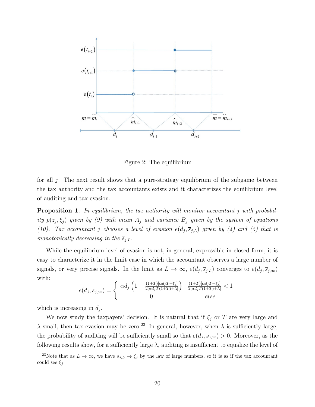

Figure 2: The equilibrium

for all j. The next result shows that a pure-strategy equilibrium of the subgame between the tax authority and the tax accountants exists and it characterizes the equilibrium level of auditing and tax evasion.

**Proposition 1.** In equilibrium, the tax authority will monitor accountant j with probability  $p(z_j, \xi_j)$  given by (9) with mean  $A_j$  and variance  $B_j$  given by the system of equations (10). Tax accountant j chooses a level of evasion  $e(d_j, \overline{s}_{j,L})$  given by (4) and (5) that is monotonically decreasing in the  $\overline{s}_{j,L}$ .

While the equilibrium level of evasion is not, in general, expressible in closed form, it is easy to characterize it in the limit case in which the accountant observes a large number of signals, or very precise signals. In the limit as  $L \to \infty$ ,  $e(d_j, \overline{s}_{j,L})$  converges to  $e(d_j, \overline{s}_{j,\infty})$ with:

$$
e(d_j, \overline{s}_{j,\infty}) = \begin{cases} \alpha d_j \left(1 - \frac{(1+T)[\alpha d_j T + \xi_j]}{2[\alpha d_j T(1+T)+\lambda]} \right) & \frac{(1+T)[\alpha d_j T + \xi_j]}{2[\alpha d_j T(1+T)+\lambda]} < 1\\ 0 & else \end{cases}
$$

which is increasing in  $d_j$ .

We now study the taxpayers' decision. It is natural that if  $\xi_j$  or T are very large and  $\lambda$  small, then tax evasion may be zero.<sup>23</sup> In general, however, when  $\lambda$  is sufficiently large, the probability of auditing will be sufficiently small so that  $e(d_j, \overline{s}_{j,\infty}) > 0$ . Moreover, as the following results show, for a sufficiently large  $\lambda$ , auditing is insufficient to equalize the level of

<sup>&</sup>lt;sup>23</sup>Note that as  $L \to \infty$ , we have  $s_{j,L} \to \xi_j$  by the law of large numbers, so it is as if the tax accountant could see  $\xi_i$ .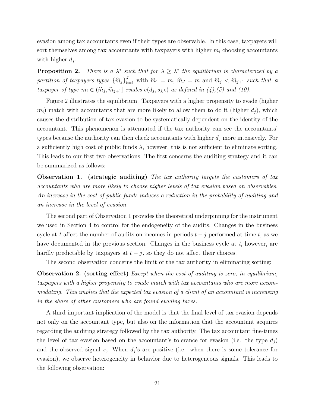evasion among tax accountants even if their types are observable. In this case, taxpayers will sort themselves among tax accountants with taxpayers with higher  $m_i$  choosing accountants with higher  $d_j$ .

Proposition 2. \* such that for  $\lambda \geq \lambda^*$  the equilibrium is characterized by a partition of taxpayers types  $\{\widehat{m}_j\}_{k=1}^J$  with  $\widehat{m}_1 = \underline{m}$ ,  $\widehat{m}_J = \overline{m}$  and  $\widehat{m}_j < \widehat{m}_{j+1}$  such that a taxpayer of type  $m_i \in (\widehat{m}_j, \widehat{m}_{j+1}]$  evades  $e(d_j, \overline{s}_{j,L})$  as defined in  $(4)$ ,(5) and (10).

Figure 2 illustrates the equilibrium. Taxpayers with a higher propensity to evade (higher  $m_i$ ) match with accountants that are more likely to allow them to do it (higher  $d_i$ ), which causes the distribution of tax evasion to be systematically dependent on the identity of the accountant. This phenomenon is attenuated if the tax authority can see the accountants' types because the authority can then check accountants with higher  $d_i$  more intensively. For a sufficiently high cost of public funds  $\lambda$ , however, this is not sufficient to eliminate sorting. This leads to our first two observations. The first concerns the auditing strategy and it can be summarized as follows:

Observation 1. (strategic auditing) The tax authority targets the customers of tax accountants who are more likely to choose higher levels of tax evasion based on observables. An increase in the cost of public funds induces a reduction in the probability of auditing and an increase in the level of evasion.

The second part of Observation 1 provides the theoretical underpinning for the instrument we used in Section 4 to control for the endogeneity of the audits. Changes in the business cycle at t affect the number of audits on incomes in periods  $t - j$  performed at time t, as we have documented in the previous section. Changes in the business cycle at  $t$ , however, are hardly predictable by taxpayers at  $t - j$ , so they do not affect their choices.

The second observation concerns the limit of the tax authority in eliminating sorting:

**Observation 2.** (sorting effect) Except when the cost of auditing is zero, in equilibrium, taxpayers with a higher propensity to evade match with tax accountants who are more accommodating. This implies that the expected tax evasion of a client of an accountant is increasing in the share of other customers who are found evading taxes.

A third important implication of the model is that the final level of tax evasion depends not only on the accountant type, but also on the information that the accountant acquires regarding the auditing strategy followed by the tax authority. The tax accountant fine-tunes the level of tax evasion based on the accountant's tolerance for evasion (i.e. the type  $d_i$ ) and the observed signal  $s_j$ . When  $d_j$ 's are positive (i.e. when there is some tolerance for evasion), we observe heterogeneity in behavior due to heterogeneous signals. This leads to the following observation: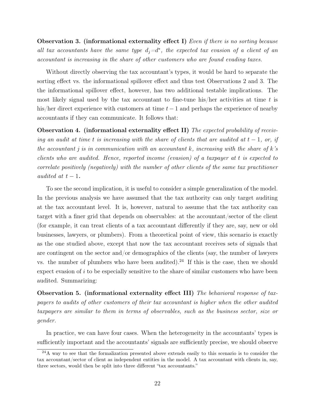**Observation 3.** (informational externality effect I) Even if there is no sorting because all tax accountants have the same type  $d_j = d^*$ , the expected tax evasion of a client of an accountant is increasing in the share of other customers who are found evading taxes.

Without directly observing the tax accountant's types, it would be hard to separate the sorting effect vs. the informational spillover effect and thus test Observations 2 and 3. The the informational spillover effect, however, has two additional testable implications. The most likely signal used by the tax accountant to fine-tune his/her activities at time  $t$  is his/her direct experience with customers at time  $t - 1$  and perhaps the experience of nearby accountants if they can communicate. It follows that:

Observation 4. (informational externality effect II) The expected probability of receiving an audit at time t is increasing with the share of clients that are audited at  $t-1$ , or, if the accountant j is in communication with an accountant k, increasing with the share of k's clients who are audited. Hence, reported income (evasion) of a taxpayer at t is expected to correlate positively (negatively) with the number of other clients of the same tax practitioner audited at  $t-1$ .

To see the second implication, it is useful to consider a simple generalization of the model. In the previous analysis we have assumed that the tax authority can only target auditing at the tax accountant level. It is, however, natural to assume that the tax authority can target with a finer grid that depends on observables: at the accountant/sector of the client (for example, it can treat clients of a tax accountant differently if they are, say, new or old businesses, lawyers, or plumbers). From a theoretical point of view, this scenario is exactly as the one studied above, except that now the tax accountant receives sets of signals that are contingent on the sector and/or demographics of the clients (say, the number of lawyers vs. the number of plumbers who have been audited).<sup>24</sup> If this is the case, then we should expect evasion of  $i$  to be especially sensitive to the share of similar customers who have been audited. Summarizing:

Observation 5. (informational externality effect III) The behavioral response of taxpayers to audits of other customers of their tax accountant is higher when the other audited taxpayers are similar to them in terms of observables, such as the business sector, size or gender.

In practice, we can have four cases. When the heterogeneity in the accountants' types is sufficiently important and the accountants' signals are sufficiently precise, we should observe

 $^{24}$ A way to see that the formalization presented above extends easily to this scenario is to consider the tax accountant/sector of client as independent entities in the model. A tax accountant with clients in, say, three sectors, would then be split into three different "tax accountants."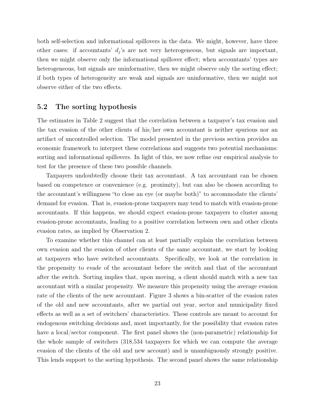both self-selection and informational spillovers in the data. We might, however, have three other cases: if accountants'  $d_j$ 's are not very heterogeneous, but signals are important, then we might observe only the informational spillover effect; when accountants' types are heterogeneous, but signals are uninformative, then we might observe only the sorting effect; if both types of heterogeneity are weak and signals are uninformative, then we might not observe either of the two effects.

## 5.2 The sorting hypothesis

The estimates in Table 2 suggest that the correlation between a taxpayer's tax evasion and the tax evasion of the other clients of his/her own accountant is neither spurious nor an artifact of uncontrolled selection. The model presented in the previous section provides an economic framework to interpret these correlations and suggests two potential mechanisms: sorting and informational spillovers. In light of this, we now refine our empirical analysis to test for the presence of these two possible channels.

Taxpayers undoubtedly choose their tax accountant. A tax accountant can be chosen based on competence or convenience (e.g. proximity), but can also be chosen according to the accountant's willingness "to close an eye (or maybe both)" to accommodate the clients' demand for evasion. That is, evasion-prone taxpayers may tend to match with evasion-prone accountants. If this happens, we should expect evasion-prone taxpayers to cluster among evasion-prone accountants, leading to a positive correlation between own and other clients evasion rates, as implied by Observation 2.

To examine whether this channel can at least partially explain the correlation between own evasion and the evasion of other clients of the same accountant, we start by looking at taxpayers who have switched accountants. Specifically, we look at the correlation in the propensity to evade of the accountant before the switch and that of the accountant after the switch. Sorting implies that, upon moving, a client should match with a new tax accountant with a similar propensity. We measure this propensity using the average evasion rate of the clients of the new accountant. Figure 3 shows a bin-scatter of the evasion rates of the old and new accountants, after we partial out year, sector and municipality fixed effects as well as a set of switchers' characteristics. These controls are meant to account for endogenous switching decisions and, most importantly, for the possibility that evasion rates have a local/sector component. The first panel shows the (non-parametric) relationship for the whole sample of switchers (318,534 taxpayers for which we can compute the average evasion of the clients of the old and new account) and is unambiguously strongly positive. This lends support to the sorting hypothesis. The second panel shows the same relationship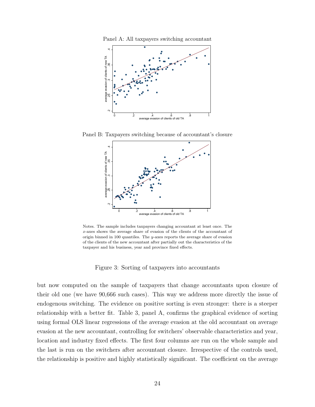



Panel B: Taxpayers switching because of accountant's closure



Notes. The sample includes taxpayers changing accountant at least once. The x-axes shows the average share of evasion of the clients of the accountant of origin binned in 100 quantiles. The y-axes reports the average share of evasion of the clients of the new accountant after partially out the characteristics of the taxpayer and his business, year and province fixed effects.

Figure 3: Sorting of taxpayers into accountants

but now computed on the sample of taxpayers that change accountants upon closure of their old one (we have 90,666 such cases). This way we address more directly the issue of endogenous switching. The evidence on positive sorting is even stronger: there is a steeper relationship with a better fit. Table 3, panel A, confirms the graphical evidence of sorting using formal OLS linear regressions of the average evasion at the old accountant on average evasion at the new accountant, controlling for switchers' observable characteristics and year, location and industry fixed effects. The first four columns are run on the whole sample and the last is run on the switchers after accountant closure. Irrespective of the controls used, the relationship is positive and highly statistically significant. The coefficient on the average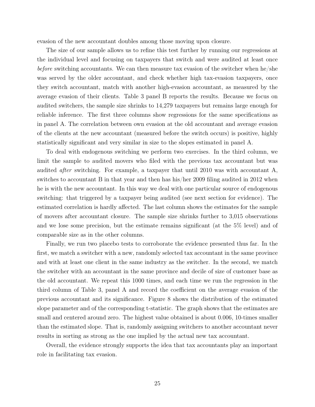evasion of the new accountant doubles among those moving upon closure.

The size of our sample allows us to refine this test further by running our regressions at the individual level and focusing on taxpayers that switch and were audited at least once before switching accountants. We can then measure tax evasion of the switcher when he/she was served by the older accountant, and check whether high tax-evasion taxpayers, once they switch accountant, match with another high-evasion accountant, as measured by the average evasion of their clients. Table 3 panel B reports the results. Because we focus on audited switchers, the sample size shrinks to 14,279 taxpayers but remains large enough for reliable inference. The first three columns show regressions for the same specifications as in panel A. The correlation between own evasion at the old accountant and average evasion of the clients at the new accountant (measured before the switch occurs) is positive, highly statistically significant and very similar in size to the slopes estimated in panel A.

To deal with endogenous switching we perform two exercises. In the third column, we limit the sample to audited movers who filed with the previous tax accountant but was audited after switching. For example, a taxpayer that until 2010 was with accountant A, switches to accountant B in that year and then has his/her 2009 filing audited in 2012 when he is with the new accountant. In this way we deal with one particular source of endogenous switching: that triggered by a taxpayer being audited (see next section for evidence). The estimated correlation is hardly affected. The last column shows the estimates for the sample of movers after accountant closure. The sample size shrinks further to 3,015 observations and we lose some precision, but the estimate remains significant (at the 5% level) and of comparable size as in the other columns.

Finally, we run two placebo tests to corroborate the evidence presented thus far. In the first, we match a switcher with a new, randomly selected tax accountant in the same province and with at least one client in the same industry as the switcher. In the second, we match the switcher with an accountant in the same province and decile of size of customer base as the old accountant. We repeat this 1000 times, and each time we run the regression in the third column of Table 3, panel A and record the coefficient on the average evasion of the previous accountant and its significance. Figure 8 shows the distribution of the estimated slope parameter and of the corresponding t-statistic. The graph shows that the estimates are small and centered around zero. The highest value obtained is about 0.006, 10-times smaller than the estimated slope. That is, randomly assigning switchers to another accountant never results in sorting as strong as the one implied by the actual new tax accountant.

Overall, the evidence strongly supports the idea that tax accountants play an important role in facilitating tax evasion.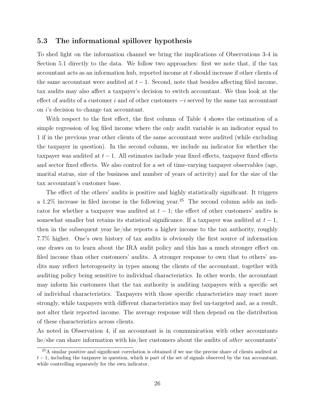#### 5.3 The informational spillover hypothesis

To shed light on the information channel we bring the implications of Observations 3-4 in Section 5.1 directly to the data. We follow two approaches: first we note that, if the tax accountant acts as an information hub, reported income at t should increase if other clients of the same accountant were audited at  $t-1$ . Second, note that besides affecting filed income, tax audits may also affect a taxpayer's decision to switch accountant. We thus look at the effect of audits of a customer i and of other customers  $-i$  served by the same tax accountant on i's decision to change tax accountant.

With respect to the first effect, the first column of Table 4 shows the estimation of a simple regression of log filed income where the only audit variable is an indicator equal to 1 if in the previous year other clients of the same accountant were audited (while excluding the taxpayer in question). In the second column, we include an indicator for whether the taxpayer was audited at  $t-1$ . All estimates include year fixed effects, taxpayer fixed effects and sector fixed effects. We also control for a set of time-varying taxpayer observables (age, marital status, size of the business and number of years of activity) and for the size of the tax accountant's customer base.

The effect of the others' audits is positive and highly statistically significant. It triggers a 1.2% increase in filed income in the following year.<sup>25</sup> The second column adds an indicator for whether a taxpayer was audited at  $t - 1$ ; the effect of other customers' audits is somewhat smaller but retains its statistical significance. If a taxpayer was audited at  $t - 1$ , then in the subsequent year he/she reports a higher income to the tax authority, roughly 7.7% higher. One's own history of tax audits is obviously the first source of information one draws on to learn about the IRA audit policy and this has a much stronger effect on filed income than other customers' audits. A stronger response to own that to others' audits may reflect heterogeneity in types among the clients of the accountant, together with auditing policy being sensitive to individual characteristics. In other words, the accountant may inform his customers that the tax authority is auditing taxpayers with a specific set of individual characteristics. Taxpayers with those specific characteristics may react more strongly, while taxpayers with different characteristics may feel un-targeted and, as a result, not alter their reported income. The average response will then depend on the distribution of these characteristics across clients.

As noted in Observation 4, if an accountant is in communication with other accountants he/she can share information with his/her customers about the audits of *other* accountants'

<sup>25</sup>A similar positive and significant correlation is obtained if we use the precise share of clients audited at  $t-1$ , including the taxpayer in question, which is part of the set of signals observed by the tax accountant, while controlling separately for the own indicator.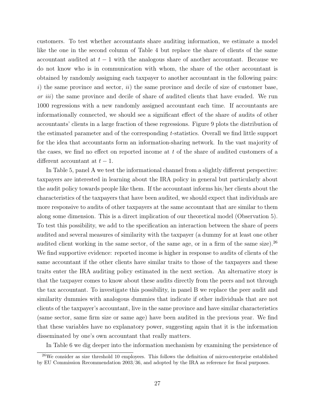customers. To test whether accountants share auditing information, we estimate a model like the one in the second column of Table 4 but replace the share of clients of the same accountant audited at  $t - 1$  with the analogous share of another accountant. Because we do not know who is in communication with whom, the share of the other accountant is obtained by randomly assigning each taxpayer to another accountant in the following pairs: i) the same province and sector,  $ii$ ) the same province and decile of size of customer base, or *iii*) the same province and decile of share of audited clients that have evaded. We run 1000 regressions with a new randomly assigned accountant each time. If accountants are informationally connected, we should see a significant effect of the share of audits of other accountants' clients in a large fraction of these regressions. Figure 9 plots the distribution of the estimated parameter and of the corresponding t-statistics. Overall we find little support for the idea that accountants form an information-sharing network. In the vast majority of the cases, we find no effect on reported income at  $t$  of the share of audited customers of a different accountant at  $t-1$ .

In Table 5, panel A we test the informational channel from a slightly different perspective: taxpayers are interested in learning about the IRA policy in general but particularly about the audit policy towards people like them. If the accountant informs his/her clients about the characteristics of the taxpayers that have been audited, we should expect that individuals are more responsive to audits of other taxpayers at the same accountant that are similar to them along some dimension. This is a direct implication of our theoretical model (Observation 5). To test this possibility, we add to the specification an interaction between the share of peers audited and several measures of similarity with the taxpayer (a dummy for at least one other audited client working in the same sector, of the same age, or in a firm of the same size).<sup>26</sup> We find supportive evidence: reported income is higher in response to audits of clients of the same accountant if the other clients have similar traits to those of the taxpayers and these traits enter the IRA auditing policy estimated in the next section. An alternative story is that the taxpayer comes to know about these audits directly from the peers and not through the tax accountant. To investigate this possibility, in panel B we replace the peer audit and similarity dummies with analogous dummies that indicate if other individuals that are not clients of the taxpayer's accountant, live in the same province and have similar characteristics (same sector, same firm size or same age) have been audited in the previous year. We find that these variables have no explanatory power, suggesting again that it is the information disseminated by one's own accountant that really matters.

In Table 6 we dig deeper into the information mechanism by examining the persistence of

 $26\text{We consider as size threshold }10$  employees. This follows the definition of micro-enterprise established by EU Commission Recommendation 2003/36, and adopted by the IRA as reference for fiscal purposes.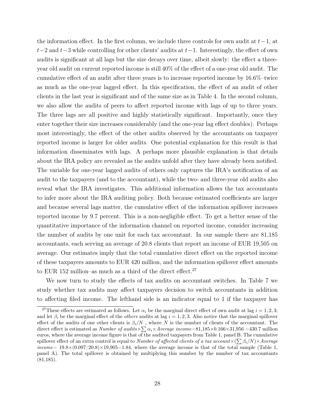the information effect. In the first column, we include three controls for own audit at  $t-1$ , at  $t-2$  and  $t-3$  while controlling for other clients' audits at  $t-1$ . Interestingly, the effect of own audits is significant at all lags but the size decays over time, albeit slowly: the effect a threeyear old audit on current reported income is still 40% of the effect of a one-year old audit. The cumulative effect of an audit after three years is to increase reported income by 16.6%–twice as much as the one-year lagged effect. In this specification, the effect of an audit of other clients in the last year is significant and of the same size as in Table 4. In the second column, we also allow the audits of peers to affect reported income with lags of up to three years. The three lags are all positive and highly statistically significant. Importantly, once they enter together their size increases considerably (and the one-year lag effect doubles). Perhaps most interestingly, the effect of the other audits observed by the accountants on taxpayer reported income is larger for older audits. One potential explanation for this result is that information disseminates with lags. A perhaps more plausible explanation is that details about the IRA policy are revealed as the audits unfold after they have already been notified. The variable for one-year lagged audits of others only captures the IRA's notification of an audit to the taxpayers (and to the accountant), while the two- and three-year old audits also reveal what the IRA investigates. This additional information allows the tax accountants to infer more about the IRA auditing policy. Both because estimated coefficients are larger and because several lags matter, the cumulative effect of the information spillover increases reported income by 9.7 percent. This is a non-negligible effect. To get a better sense of the quantitative importance of the information channel on reported income, consider increasing the number of audits by one unit for each tax accountant. In our sample there are 81,185 accountants, each serving an average of 20.8 clients that report an income of EUR 19,505 on average. Our estimates imply that the total cumulative direct effect on the reported income of these taxpayers amounts to EUR 420 million, and the information spillover effect amounts to EUR 152 million–as much as a third of the direct effect.<sup>27</sup>

We now turn to study the effects of tax audits on accountant switches. In Table 7 we study whether tax audits may affect taxpayers decision to switch accountants in addition to affecting filed income. The lefthand side is an indicator equal to 1 if the taxpayer has

<sup>&</sup>lt;sup>27</sup>These effects are estimated as follows. Let  $\alpha_i$  be the marginal direct effect of own audit at lag  $i = 1, 2, 3;$ and let  $\beta_i$  be the marginal effect of the *others* audits at lag  $i = 1, 2, 3$ . Also notice that the marginal spillover effect of the audits of one other clients is  $\beta_i/N$ , where N is the number of clients of the accountant. The direct effect is estimated as *Number of audits*  $\times \sum \alpha_i \times Average$  income=81,185 $\times$ 0.166 $\times$ 31,956 =430.7 million euros, where the average income figure is that of the audited taxpayers from Table 1, panel B. The cumulative spillover effect of an extra control is equal to Number of affected clients of a tax account $\times (\sum \beta_i/N)\times Average$ income=  $19.8\times(0.097/20.8)\times19,905=1.84$ , where the average income is that of the total sample (Table 1, panel A). The total spillover is obtained by multiplying this number by the number of tax accountants (81,185).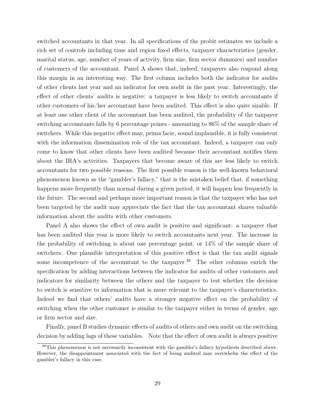switched accountants in that year. In all specifications of the probit estimates we include a rich set of controls including time and region fixed effects, taxpayer characteristics (gender, marital status, age, number of years of activity, firm size, firm sector dummies) and number of customers of the accountant. Panel A shows that, indeed, taxpayers also respond along this margin in an interesting way. The first column includes both the indicator for audits of other clients last year and an indicator for own audit in the past year. Interestingly, the effect of other clients' audits is negative: a taxpayer is less likely to switch accountants if other customers of his/her accountant have been audited. This effect is also quite sizable. If at least one other client of the accountant has been audited, the probability of the taxpayer switching accountants falls by 6 percentage points - amounting to 86% of the sample share of switchers. While this negative effect may, prima facie, sound implausible, it is fully consistent with the information dissemination role of the tax accountant. Indeed, a taxpayer can only come to know that other clients have been audited because their accountant notifies them about the IRA's activities. Taxpayers that become aware of this are less likely to switch accountants for two possible reasons. The first possible reason is the well-known behavioral phenomenon known as the "gambler's fallacy," that is the mistaken belief that, if something happens more frequently than normal during a given period, it will happen less frequently in the future. The second and perhaps more important reason is that the taxpayer who has not been targeted by the audit may appreciate the fact that the tax accountant shares valuable information about the audits with other customers.

Panel A also shows the effect of own audit is positive and significant: a taxpayer that has been audited this year is more likely to switch accountants next year. The increase in the probability of switching is about one percentage point, or 14% of the sample share of switchers. One plausible interpretation of this positive effect is that the tax audit signals some incompetence of the accountant to the taxpayer.<sup>28</sup> The other columns enrich the specification by adding interactions between the indicator for audits of other customers and indicators for similarity between the others and the taxpayer to test whether the decision to switch is sensitive to information that is more relevant to the taxpayer's characteristics. Indeed we find that others' audits have a stronger negative effect on the probability of switching when the other customer is similar to the taxpayer either in terms of gender, age or firm sector and size.

Finally, panel B studies dynamic effects of audits of others and own audit on the switching decision by adding lags of these variables. Note that the effect of own audit is always positive

<sup>&</sup>lt;sup>28</sup>This phenomenon is not necessarily inconsistent with the gambler's fallacy hypothesis described above. However, the disappointment associated with the fact of being audited may overwhelm the effect of the gambler's fallacy in this case.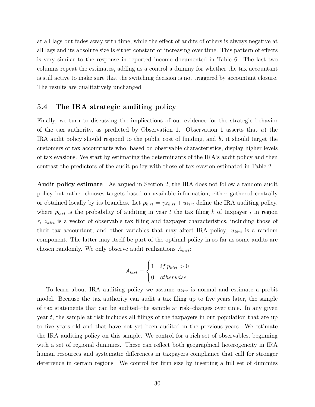at all lags but fades away with time, while the effect of audits of others is always negative at all lags and its absolute size is either constant or increasing over time. This pattern of effects is very similar to the response in reported income documented in Table 6. The last two columns repeat the estimates, adding as a control a dummy for whether the tax accountant is still active to make sure that the switching decision is not triggered by accountant closure. The results are qualitatively unchanged.

#### 5.4 The IRA strategic auditing policy

Finally, we turn to discussing the implications of our evidence for the strategic behavior of the tax authority, as predicted by Observation 1. Observation 1 asserts that  $a)$  the IRA audit policy should respond to the public cost of funding, and b) it should target the customers of tax accountants who, based on observable characteristics, display higher levels of tax evasions. We start by estimating the determinants of the IRA's audit policy and then contrast the predictors of the audit policy with those of tax evasion estimated in Table 2.

Audit policy estimate As argued in Section 2, the IRA does not follow a random audit policy but rather chooses targets based on available information, either gathered centrally or obtained locally by its branches. Let  $p_{kirt} = \gamma z_{kirt} + u_{kirt}$  define the IRA auditing policy, where  $p_{kirt}$  is the probability of auditing in year t the tax filing k of taxpayer i in region r;  $z_{kirt}$  is a vector of observable tax filing and taxpayer characteristics, including those of their tax accountant, and other variables that may affect IRA policy;  $u_{kirt}$  is a random component. The latter may itself be part of the optimal policy in so far as some audits are chosen randomly. We only observe audit realizations  $A_{kirt}$ :

$$
A_{kirt} = \begin{cases} 1 & if p_{kirt} > 0 \\ 0 & otherwise \end{cases}
$$

To learn about IRA auditing policy we assume  $u_{kirt}$  is normal and estimate a probit model. Because the tax authority can audit a tax filing up to five years later, the sample of tax statements that can be audited–the sample at risk–changes over time. In any given year  $t$ , the sample at risk includes all filings of the taxpayers in our population that are up to five years old and that have not yet been audited in the previous years. We estimate the IRA auditing policy on this sample. We control for a rich set of observables, beginning with a set of regional dummies. These can reflect both geographical heterogeneity in IRA human resources and systematic differences in taxpayers compliance that call for stronger deterrence in certain regions. We control for firm size by inserting a full set of dummies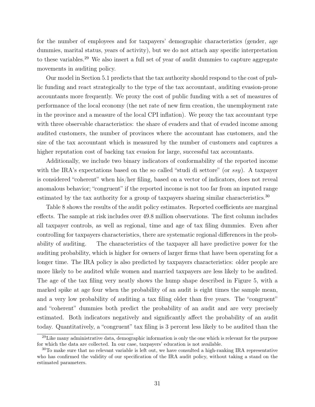for the number of employees and for taxpayers' demographic characteristics (gender, age dummies, marital status, years of activity), but we do not attach any specific interpretation to these variables.<sup>29</sup> We also insert a full set of year of audit dummies to capture aggregate movements in auditing policy.

Our model in Section 5.1 predicts that the tax authority should respond to the cost of public funding and react strategically to the type of the tax accountant, auditing evasion-prone accountants more frequently. We proxy the cost of public funding with a set of measures of performance of the local economy (the net rate of new firm creation, the unemployment rate in the province and a measure of the local CPI inflation). We proxy the tax accountant type with three observable characteristics: the share of evaders and that of evaded income among audited customers, the number of provinces where the accountant has customers, and the size of the tax accountant which is measured by the number of customers and captures a higher reputation cost of backing tax evasion for large, successful tax accountants.

Additionally, we include two binary indicators of conformability of the reported income with the IRA's expectations based on the so called "studi di settore" (or ssy). A taxpayer is considered "coherent" when his/her filing, based on a vector of indicators, does not reveal anomalous behavior; "congruent" if the reported income is not too far from an inputed range estimated by the tax authority for a group of taxpayers sharing similar characteristics.<sup>30</sup>

Table 8 shows the results of the audit policy estimates. Reported coefficients are marginal effects. The sample at risk includes over 49.8 million observations. The first column includes all taxpayer controls, as well as regional, time and age of tax filing dummies. Even after controlling for taxpayers characteristics, there are systematic regional differences in the probability of auditing. The characteristics of the taxpayer all have predictive power for the auditing probability, which is higher for owners of larger firms that have been operating for a longer time. The IRA policy is also predicted by taxpayers characteristics: older people are more likely to be audited while women and married taxpayers are less likely to be audited. The age of the tax filing very neatly shows the hump shape described in Figure 5, with a marked spike at age four when the probability of an audit is eight times the sample mean, and a very low probability of auditing a tax filing older than five years. The "congruent" and "coherent" dummies both predict the probability of an audit and are very precisely estimated. Both indicators negatively and significantly affect the probability of an audit today. Quantitatively, a "congruent" tax filing is 3 percent less likely to be audited than the

<sup>&</sup>lt;sup>29</sup>Like many administrative data, demographic information is only the one which is relevant for the purpose for which the data are collected. In our case, taxpayers' education is not available.

 $30T<sub>0</sub>$  make sure that no relevant variable is left out, we have consulted a high-ranking IRA representative who has confirmed the validity of our specification of the IRA audit policy, without taking a stand on the estimated parameters.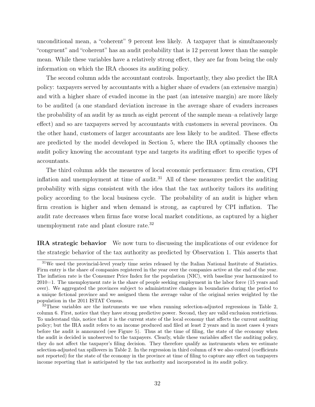unconditional mean, a "coherent" 9 percent less likely. A taxpayer that is simultaneously "congruent" and "coherent" has an audit probability that is 12 percent lower than the sample mean. While these variables have a relatively strong effect, they are far from being the only information on which the IRA chooses its auditing policy.

The second column adds the accountant controls. Importantly, they also predict the IRA policy: taxpayers served by accountants with a higher share of evaders (an extensive margin) and with a higher share of evaded income in the past (an intensive margin) are more likely to be audited (a one standard deviation increase in the average share of evaders increases the probability of an audit by as much as eight percent of the sample mean–a relatively large effect) and so are taxpayers served by accountants with customers in several provinces. On the other hand, customers of larger accountants are less likely to be audited. These effects are predicted by the model developed in Section 5, where the IRA optimally chooses the audit policy knowing the accountant type and targets its auditing effort to specific types of accountants.

The third column adds the measures of local economic performance: firm creation, CPI inflation and unemployment at time of audit.<sup>31</sup> All of these measures predict the auditing probability with signs consistent with the idea that the tax authority tailors its auditing policy according to the local business cycle. The probability of an audit is higher when firm creation is higher and when demand is strong, as captured by CPI inflation. The audit rate decreases when firms face worse local market conditions, as captured by a higher unemployment rate and plant closure rate.<sup>32</sup>

IRA strategic behavior We now turn to discussing the implications of our evidence for the strategic behavior of the tax authority as predicted by Observation 1. This asserts that

<sup>31</sup>We used the provincial-level yearly time series released by the Italian National Institute of Statistics. Firm entry is the share of companies registered in the year over the companies active at the end of the year. The inflation rate is the Consumer Price Index for the population (NIC), with baseline year harmonized to 2010=1. The unemployment rate is the share of people seeking employment in the labor force (15 years and over). We aggregated the provinces subject to administrative changes in boundaries during the period to a unique fictional province and we assigned them the average value of the original series weighted by the population in the 2011 ISTAT Census.

 $32$ These variables are the instruments we use when running selection-adjusted regressions in Table 2, column 6. First, notice that they have strong predictive power. Second, they are valid exclusion restrictions. To understand this, notice that it is the current state of the local economy that affects the current auditing policy; but the IRA audit refers to an income produced and filed at least 2 years and in most cases 4 years before the audit is announced (see Figure 5). Thus at the time of filing, the state of the economy when the audit is decided is unobserved to the taxpayers. Clearly, while these variables affect the auditing policy, they do not affect the taxpayer's filing decision. They therefore qualify as instruments when we estimate selection-adjusted tax spillovers in Table 2. In the regression in third column of 8 we also control (coefficients not reported) for the state of the economy in the province at time of filing to capture any effect on taxpayers income reporting that is anticipated by the tax authority and incorporated in its audit policy.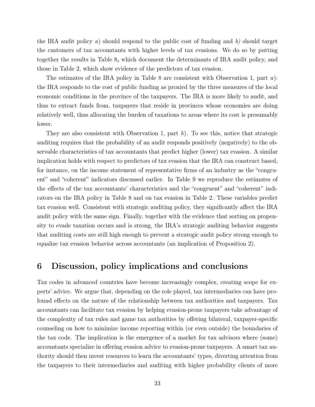the IRA audit policy a) should respond to the public cost of funding and  $b$ ) should target the customers of tax accountants with higher levels of tax evasions. We do so by putting together the results in Table 8, which document the determinants of IRA audit policy, and those in Table 2, which show evidence of the predictors of tax evasion.

The estimates of the IRA policy in Table 8 are consistent with Observation 1, part  $a$ ): the IRA responds to the cost of public funding as proxied by the three measures of the local economic conditions in the province of the taxpayers. The IRA is more likely to audit, and thus to extract funds from, taxpayers that reside in provinces whose economies are doing relatively well, thus allocating the burden of taxations to areas where its cost is presumably lower.

They are also consistent with Observation 1, part  $b$ ). To see this, notice that strategic auditing requires that the probability of an audit responds positively (negatively) to the observable characteristics of tax accountants that predict higher (lower) tax evasion. A similar implication holds with respect to predictors of tax evasion that the IRA can construct based, for instance, on the income statement of representative firms of an industry as the "congruent" and "coherent" indicators discussed earlier. In Table 9 we reproduce the estimates of the effects of the tax accountants' characteristics and the "congruent" and "coherent" indicators on the IRA policy in Table 8 and on tax evasion in Table 2. These variables predict tax evasion well. Consistent with strategic auditing policy, they significantly affect the IRA audit policy with the same sign. Finally, together with the evidence that sorting on propensity to evade taxation occurs and is strong, the IRA's strategic auditing behavior suggests that auditing costs are still high enough to prevent a strategic audit policy strong enough to equalize tax evasion behavior across accountants (an implication of Proposition 2).

## 6 Discussion, policy implications and conclusions

Tax codes in advanced countries have become increasingly complex, creating scope for experts' advice. We argue that, depending on the role played, tax intermediaries can have profound effects on the nature of the relationship between tax authorities and taxpayers. Tax accountants can facilitate tax evasion by helping evasion-prone taxpayers take advantage of the complexity of tax rules and game tax authorities by offering bilateral, taxpayer-specific counseling on how to minimize income reporting within (or even outside) the boundaries of the tax code. The implication is the emergence of a market for tax advisors where (some) accountants specialize in offering evasion advice to evasion-prone taxpayers. A smart tax authority should then invest resources to learn the accountants' types, diverting attention from the taxpayers to their intermediaries and auditing with higher probability clients of more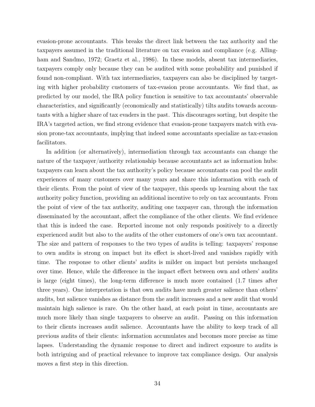evasion-prone accountants. This breaks the direct link between the tax authority and the taxpayers assumed in the traditional literature on tax evasion and compliance (e.g. Allingham and Sandmo, 1972; Graetz et al., 1986). In these models, absent tax intermediaries, taxpayers comply only because they can be audited with some probability and punished if found non-compliant. With tax intermediaries, taxpayers can also be disciplined by targeting with higher probability customers of tax-evasion prone accountants. We find that, as predicted by our model, the IRA policy function is sensitive to tax accountants' observable characteristics, and significantly (economically and statistically) tilts audits towards accountants with a higher share of tax evaders in the past. This discourages sorting, but despite the IRA's targeted action, we find strong evidence that evasion-prone taxpayers match with evasion prone-tax accountants, implying that indeed some accountants specialize as tax-evasion facilitators.

In addition (or alternatively), intermediation through tax accountants can change the nature of the taxpayer/authority relationship because accountants act as information hubs: taxpayers can learn about the tax authority's policy because accountants can pool the audit experiences of many customers over many years and share this information with each of their clients. From the point of view of the taxpayer, this speeds up learning about the tax authority policy function, providing an additional incentive to rely on tax accountants. From the point of view of the tax authority, auditing one taxpayer can, through the information disseminated by the accountant, affect the compliance of the other clients. We find evidence that this is indeed the case. Reported income not only responds positively to a directly experienced audit but also to the audits of the other customers of one's own tax accountant. The size and pattern of responses to the two types of audits is telling: taxpayers' response to own audits is strong on impact but its effect is short-lived and vanishes rapidly with time. The response to other clients' audits is milder on impact but persists unchanged over time. Hence, while the difference in the impact effect between own and others' audits is large (eight times), the long-term difference is much more contained (1.7 times after three years). One interpretation is that own audits have much greater salience than others' audits, but salience vanishes as distance from the audit increases and a new audit that would maintain high salience is rare. On the other hand, at each point in time, accountants are much more likely than single taxpayers to observe an audit. Passing on this information to their clients increases audit salience. Accountants have the ability to keep track of all previous audits of their clients: information accumulates and becomes more precise as time lapses. Understanding the dynamic response to direct and indirect exposure to audits is both intriguing and of practical relevance to improve tax compliance design. Our analysis moves a first step in this direction.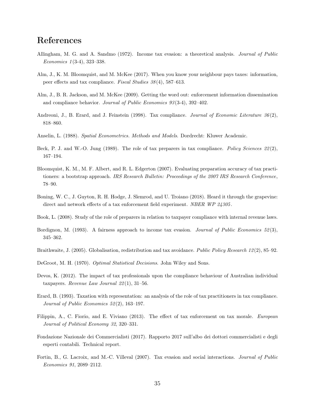## References

- Allingham, M. G. and A. Sandmo (1972). Income tax evasion: a theoretical analysis. Journal of Public Economics 1 (3-4), 323–338.
- Alm, J., K. M. Bloomquist, and M. McKee (2017). When you know your neighbour pays taxes: information, peer effects and tax compliance. Fiscal Studies 38 (4), 587–613.
- Alm, J., B. R. Jackson, and M. McKee (2009). Getting the word out: enforcement information dissemination and compliance behavior. Journal of Public Economics 93 (3-4), 392–402.
- Andreoni, J., B. Erard, and J. Feinstein (1998). Tax compliance. Journal of Economic Literature 36(2), 818–860.
- Anselin, L. (1988). Spatial Econometrics. Methods and Models. Dordrecht: Kluwer Academic.
- Beck, P. J. and W.-O. Jung (1989). The role of tax preparers in tax compliance. Policy Sciences  $22(2)$ , 167–194.
- Bloomquist, K. M., M. F. Albert, and R. L. Edgerton (2007). Evaluating preparation accuracy of tax practitioners: a bootstrap approach. IRS Research Bulletin: Proceedings of the 2007 IRS Research Conference, 78–90.
- Boning, W. C., J. Guyton, R. H. Hodge, J. Slemrod, and U. Troiano (2018). Heard it through the grapevine: direct and network effects of a tax enforcement field experiment. NBER WP 24305.
- Book, L. (2008). Study of the role of preparers in relation to taxpayer compliance with internal revenue laws.
- Bordignon, M. (1993). A fairness approach to income tax evasion. Journal of Public Economics 52(3), 345–362.
- Braithwaite, J. (2005). Globalisation, redistribution and tax avoidance. Public Policy Research 12(2), 85–92.
- DeGroot, M. H. (1970). *Optimal Statistical Decisions*. John Wiley and Sons.
- Devos, K. (2012). The impact of tax professionals upon the compliance behaviour of Australian individual taxpayers. Revenue Law Journal  $22(1)$ , 31–56.
- Erard, B. (1993). Taxation with representation: an analysis of the role of tax practitioners in tax compliance. Journal of Public Economics 52 (2), 163–197.
- Filippin, A., C. Fiorio, and E. Viviano (2013). The effect of tax enforcement on tax morale. European Journal of Political Economy 32, 320–331.
- Fondazione Nazionale dei Commercialisti (2017). Rapporto 2017 sull'albo dei dottori commercialisti e degli esperti contabili. Technical report.
- Fortin, B., G. Lacroix, and M.-C. Villeval (2007). Tax evasion and social interactions. Journal of Public Economics 91, 2089–2112.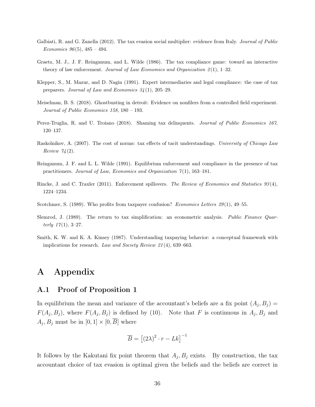- Galbiati, R. and G. Zanella (2012). The tax evasion social multiplier: evidence from Italy. Journal of Public Economics  $96(5)$ ,  $485 - 494$ .
- Graetz, M. J., J. F. Reinganum, and L. Wilde (1986). The tax compliance game: toward an interactive theory of law enforcement. Journal of Law Economics and Organization  $2(1)$ , 1–32.
- Klepper, S., M. Mazur, and D. Nagin (1991). Expert intermediaries and legal compliance: the case of tax preparers. Journal of Law and Economics 34 (1), 205–29.
- Meiselman, B. S. (2018). Ghostbusting in detroit: Evidence on nonfilers from a controlled field experiment. Journal of Public Economics 158, 180 – 193.
- Perez-Truglia, R. and U. Troiano (2018). Shaming tax delinquents. Journal of Public Economics 167, 120–137.
- Raskolnikov, A. (2007). The cost of norms: tax effects of tacit understandings. University of Chicago Law Review  $74(2)$ .
- Reinganum, J. F. and L. L. Wilde (1991). Equilibrium enforcement and compliance in the presence of tax practitioners. Journal of Law, Economics and Organization  $7(1)$ , 163–181.
- Rincke, J. and C. Traxler (2011). Enforcement spillovers. The Review of Economics and Statistics 93 (4), 1224–1234.
- Scotchmer, S. (1989). Who profits from taxpayer confusion? Economics Letters 29(1), 49–55.
- Slemrod, J. (1989). The return to tax simplification: an econometric analysis. Public Finance Quarterly  $17(1), 3-27.$
- Smith, K. W. and K. A. Kinsey (1987). Understanding taxpaying behavior: a conceptual framework with implications for research. Law and Society Review 21 (4), 639–663.

## A Appendix

#### A.1 Proof of Proposition 1

In equilibrium the mean and variance of the accountant's beliefs are a fix point  $(A_j, B_j)$  =  $F(A_j, B_j)$ , where  $F(A_j, B_j)$  is defined by (10). Note that F is continuous in  $A_j, B_j$  and  $A_j, B_j$  must be in  $[0, 1] \times [0, \overline{B}]$  where

$$
\overline{B} = [(2\lambda)^2 \cdot r - Lk]^{-1}
$$

It follows by the Kakutani fix point theorem that  $A_j$ ,  $B_j$  exists. By construction, the tax accountant choice of tax evasion is optimal given the beliefs and the beliefs are correct in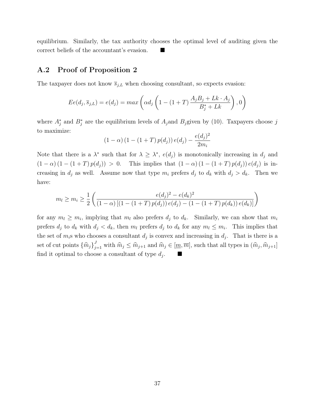equilibrium. Similarly, the tax authority chooses the optimal level of auditing given the correct beliefs of the accountant's evasion.

### A.2 Proof of Proposition 2

The taxpayer does not know  $\overline{s}_{j,L}$  when choosing consultant, so expects evasion:

$$
Ee(d_j, \overline{s}_{j,L}) = e(d_j) = max\left(\alpha d_j \left(1 - (1+T) \frac{A_j B_j + Lk \cdot A_j}{B_j^* + Lk}\right), 0\right)
$$

where  $A_j^*$  and  $B_j^*$  are the equilibrium levels of  $A_j$  and  $B_j$  given by (10). Taxpayers choose j to maximize:

$$
(1 - \alpha) (1 - (1 + T) p(d_j)) e(d_j) - \frac{e(d_j)^2}{2m_i}
$$

Note that there is a  $\lambda^*$  such that for  $\lambda \geq \lambda^*$ ,  $e(d_j)$  is monotonically increasing in  $d_j$  and  $(1 - \alpha) (1 - (1 + T) p(d_i)) > 0$ . This implies that  $(1 - \alpha) (1 - (1 + T) p(d_i)) e(d_i)$  is increasing in  $d_j$  as well. Assume now that type  $m_i$  prefers  $d_j$  to  $d_k$  with  $d_j > d_k$ . Then we have:

$$
m_l \ge m_i \ge \frac{1}{2} \left( \frac{e(d_j)^2 - e(d_k)^2}{(1 - \alpha) \left[ (1 - (1 + T) p(d_j)) e(d_j) - (1 - (1 + T) p(d_k)) e(d_k) \right]} \right)
$$

for any  $m_l \geq m_i$ , implying that  $m_l$  also prefers  $d_j$  to  $d_k$ . Similarly, we can show that  $m_i$ prefers  $d_j$  to  $d_k$  with  $d_j < d_k$ , then  $m_l$  prefers  $d_j$  to  $d_k$  for any  $m_l \leq m_i$ . This implies that the set of  $m_i$ s who chooses a consultant  $d_j$  is convex and increasing in  $d_j$ . That is there is a set of cut points  $\{\widehat{m}_j\}_{j=1}^J$  with  $\widehat{m}_j \leq \widehat{m}_{j+1}$  and  $\widehat{m}_j \in [\underline{m}, \overline{m}]$ , such that all types in  $(\widehat{m}_j, \widehat{m}_{j+1}]$ find it optimal to choose a consultant of type  $d_j$ . .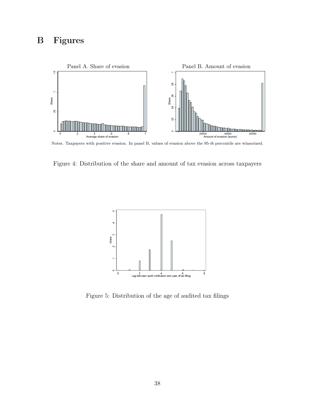# B Figures



Notes. Taxpayers with positive evasion. In panel B, values of evasion above the 95-th percentile are winsorized.

Figure 4: Distribution of the share and amount of tax evasion across taxpayers



Figure 5: Distribution of the age of audited tax filings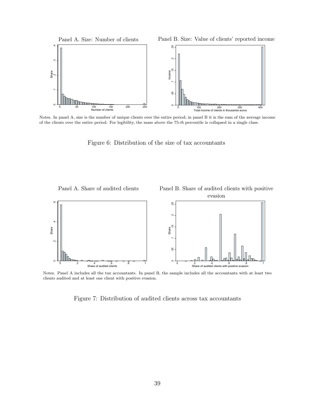

Notes. In panel A, size is the number of unique clients over the entire period; in panel B it is the sum of the average income of the clients over the entire period. For legibility, the mass above the 75-th percentile is collapsed in a single class.

Figure 6: Distribution of the size of tax accountants



Notes. Panel A includes all the tax accountants. In panel B, the sample includes all the accountants with at least two clients audited and at least one client with positive evasion.

Figure 7: Distribution of audited clients across tax accountants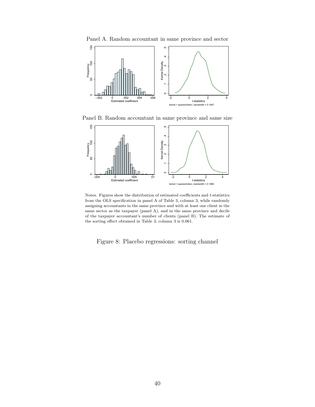![](_page_40_Figure_0.jpeg)

![](_page_40_Figure_1.jpeg)

Panel B. Random accountant in same province and same size

![](_page_40_Figure_3.jpeg)

Notes. Figures show the distribution of estimated coefficients and t-statistics from the OLS specification in panel A of Table 3, column 3, while randomly assigning accountants in the same province and with at least one client in the same sector as the taxpayer (panel A), and in the same province and decile of the taxpayer accountant's number of clients (panel B). The estimate of the sorting effect obtained in Table 3, column 3 is 0.061.

Figure 8: Placebo regressions: sorting channel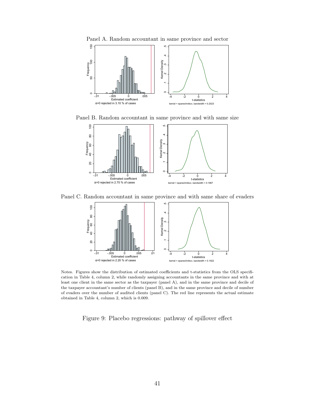![](_page_41_Figure_0.jpeg)

Panel B. Random accountant in same province and with same size

![](_page_41_Figure_2.jpeg)

Panel C. Random accountant in same province and with same share of evaders

![](_page_41_Figure_4.jpeg)

Notes. Figures show the distribution of estimated coefficients and t-statistics from the OLS specification in Table 4, column 2, while randomly assigning accountants in the same province and with at least one client in the same sector as the taxpayer (panel A), and in the same province and decile of the taxpayer accountant's number of clients (panel B), and in the same province and decile of number of evaders over the number of audited clients (panel C). The red line represents the actual estimate obtained in Table 4, column 2, which is 0.009.

Figure 9: Placebo regressions: pathway of spillover effect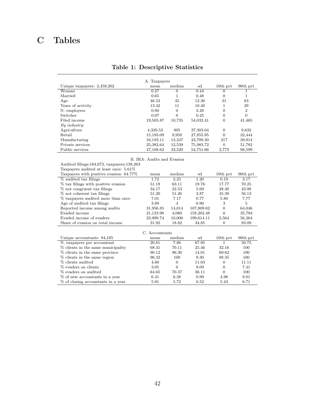# C Tables

| A. Taxpayers                  |           |          |           |                |                |  |  |
|-------------------------------|-----------|----------|-----------|----------------|----------------|--|--|
| Unique taxpayers: $2,459,202$ | mean      | median   | sd        | $10th$ pct     | 90th pct       |  |  |
| Woman                         | 0.27      | $\Omega$ | 0.44      | $\Omega$       |                |  |  |
| Married                       | 0.65      |          | 0.48      | $\overline{0}$ |                |  |  |
| Age                           | 46.52     | 45       | 12.36     | 31             | 63             |  |  |
| Years of activity             | 13.42     | 11       | 10.40     | 1              | 29             |  |  |
| N. employees                  | 0.80      | 0        | 3.28      | 0              | $\overline{2}$ |  |  |
| Switcher                      | 0.07      | 0        | 0.25      | $\overline{0}$ | $\theta$       |  |  |
| Filed income                  | 19,505.87 | 10,735   | 54,032.41 | $\overline{0}$ | 41,465         |  |  |
| $By$ industry:                |           |          |           |                |                |  |  |
| Agriculture                   | 4,329.53  | 805      | 37,303.04 | $\overline{0}$ | 9,632          |  |  |
| Retail                        | 15,193.09 | 9,958    | 27,855.95 | $\overline{0}$ | 32,444         |  |  |
| Manufacturing                 | 16,193.11 | 13,247   | 23,709.30 | 217            | 29,914         |  |  |
| Private services              | 25,382.64 | 12,539   | 75,983.72 | $\overline{0}$ | 51,782         |  |  |
| Public services               | 47.108.62 | 33,520   | 54,751.66 | 2,773          | 98,599         |  |  |

## Table 1: Descriptive Statistics

#### B. IRA: Audits and Evasion

Taxpayers audited at least once: 5.61%

| Taxpayers with positive evasion: 64.77% | mean      | median | sd         | $10th$ pct | 90th pct |
|-----------------------------------------|-----------|--------|------------|------------|----------|
| % audited tax filings                   | 1.72      | 2.25   | 1.20       | 0.19       | 3.17     |
| % tax filings with positive evasion     | 51.19     | 63.11  | 19.76      | 17.77      | 70.25    |
| % not congruent tax filings             | 34.17     | 32.53  | 5.69       | 28.40      | 43.98    |
| % not coherent tax filings              | 51.20     | 51.26  | 3.87       | 45.39      | 56.13    |
| % taxpayers audited more than once      | 7.01      | 7.17   | 0.77       | 5.80       | 7.77     |
| Age of audited tax filings              | 3.89      | 4      | 0.90       | 3          | 5        |
| Reported income among audits            | 31,956.85 | 14.014 | 107,809.62 | $\Omega$   | 64,046   |
| Evaded income                           | 21,123.98 | 4,080  | 158,202.48 | 0          | 35,794   |
| Evaded income of evaders                | 33,999.74 | 10,000 | 199,614.11 | 2.564      | 56,264   |
| Share of evasion on total income        | 31.92     | 18.82  | 34.85      | 0          | 93.09    |

| C. Accountants                     |       |          |       |            |          |  |  |  |
|------------------------------------|-------|----------|-------|------------|----------|--|--|--|
| Unique accountants: 84,185         | mean  | median   | sd    | $10th$ pct | 90th pct |  |  |  |
| N. taxpayers per accountant        | 20.81 | 7.86     | 67.95 |            | 50.75    |  |  |  |
| % clients in the same municipality | 68.31 | 70.11    | 25.46 | 32.16      | 100      |  |  |  |
| % clients in the same province     | 90.12 | 96.30    | 14.01 | 69.62      | 100      |  |  |  |
| % clients in the same region       | 96.32 | 100      | 9.30  | 88.35      | 100      |  |  |  |
| % clients audited                  | 4.60  | 0        | 11.03 | 0          | 11.11    |  |  |  |
| % evaders on clients               | 3.05  | $\Omega$ | 9.09  | $\Omega$   | 7.41     |  |  |  |
| % evaders on audited               | 64.65 | 70.37    | 36.11 | $\Omega$   | 100      |  |  |  |
| % of new accountants in a year     | 6.41  | 6.38     | 0.99  | 4.98       | 8.01     |  |  |  |
| % of closing accountants in a year | 5.91  | 5.72     | 0.52  | 5.43       | 6.71     |  |  |  |

Audited filings:184,673, taxpayers:138,263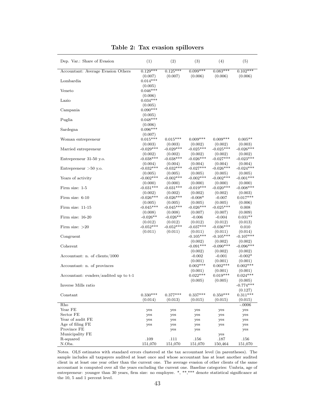| Dep. Var.: Share of Evasion           | (1)                    | (2)                    | (3)                    | (4)                    | (5)                    |
|---------------------------------------|------------------------|------------------------|------------------------|------------------------|------------------------|
| Accountant: Average Evasion Others    | $0.129***$             | $0.125***$             | $0.099***$             | $0.083***$             | $0.102***$             |
|                                       | (0.007)                | (0.007)                | (0.006)                | (0.006)                | (0.006)                |
| Lombardia                             | $0.014***$             |                        |                        |                        |                        |
|                                       | (0.005)                |                        |                        |                        |                        |
| Veneto                                | $0.046***$             |                        |                        |                        |                        |
|                                       | (0.006)                |                        |                        |                        |                        |
| Lazio                                 | $0.034***$             |                        |                        |                        |                        |
|                                       | (0.005)<br>$0.090***$  |                        |                        |                        |                        |
| Campania                              |                        |                        |                        |                        |                        |
| Puglia                                | (0.005)<br>$0.048***$  |                        |                        |                        |                        |
|                                       | (0.006)                |                        |                        |                        |                        |
| Sardegna                              | $0.096***$             |                        |                        |                        |                        |
|                                       | (0.007)                |                        |                        |                        |                        |
| Woman entrepreneur                    | $0.015***$             | $0.015***$             | $0.009***$             | $0.009***$             | $0.005**$              |
|                                       | (0.003)                | (0.003)                | (0.002)                | (0.002)                | (0.003)                |
| Married entrepreneur                  | $-0.029***$            | $-0.029***$            | $-0.025***$            | $-0.025***$            | $-0.026***$            |
|                                       | (0.002)                | (0.002)                | (0.002)                | (0.002)                | (0.002)                |
| Entrepreneur 31-50 y.o.               | $-0.038***$            | $-0.038***$            | $-0.026***$            | $-0.027***$            | $-0.023***$            |
|                                       | (0.004)<br>$-0.032***$ | (0.004)<br>$-0.032***$ | (0.004)<br>$-0.027***$ | (0.004)<br>$-0.026***$ | (0.004)<br>$-0.024***$ |
| Entrepreneur $>50$ y.o.               |                        |                        |                        |                        |                        |
| Years of activity                     | (0.005)<br>$-0.002***$ | (0.005)<br>$-0.002***$ | (0.005)<br>$-0.002***$ | (0.005)<br>$-0.002***$ | (0.005)<br>$-0.001***$ |
|                                       | (0.000)                | (0.000)                | (0.000)                | (0.000)                | (0.000)                |
| Firm size: 1-5                        | $-0.031***$            | $-0.031***$            | $-0.019***$            | $-0.020***$            | $-0.008***$            |
|                                       | (0.002)                | (0.002)                | (0.002)                | (0.002)                | (0.003)                |
| Firm size: $6-10$                     | $-0.026***$            | $-0.026***$            | $-0.008*$              | $-0.007$               | $0.017***$             |
|                                       | (0.005)                | (0.005)                | (0.005)                | (0.005)                | (0.006)                |
| Firm size: $11-15$                    | $-0.045***$            | $-0.045***$            | $-0.026***$            | $-0.025***$            | 0.008                  |
|                                       | (0.008)                | (0.008)                | (0.007)                | (0.007)                | (0.009)                |
| Firm size: 16-20                      | $-0.026**$             | $-0.026**$             | $-0.006$               | $-0.004$               | $0.031**$              |
| Firm size: $>20$                      | (0.012)<br>$-0.052***$ | (0.012)<br>$-0.052***$ | (0.012)<br>$-0.037***$ | (0.012)<br>$-0.036***$ | (0.013)<br>0.010       |
|                                       | (0.011)                | (0.011)                | (0.011)                | (0.011)                | (0.014)                |
| Congruent                             |                        |                        | $-0.105***$            | $-0.105***$            | $-0.107***$            |
|                                       |                        |                        | (0.002)                | (0.002)                | (0.002)                |
| Coherent                              |                        |                        | $-0.091***$            | $-0.090***$            | $-0.096***$            |
|                                       |                        |                        | (0.002)                | (0.002)                | (0.002)                |
| Accountant: n. of clients/1000        |                        |                        | $-0.002$               | $-0.001$               | $-0.002*$              |
|                                       |                        |                        | (0.001)                | (0.001)                | (0.001)                |
| Accountant: n. of provinces           |                        |                        | $0.002***$             | $0.002***$             | $0.002***$             |
|                                       |                        |                        | (0.001)<br>$0.022***$  | (0.001)<br>$0.019***$  | (0.001)<br>$0.024***$  |
| Accountant: evaders/audited up to t-1 |                        |                        | (0.005)                | (0.005)                | (0.005)                |
| Inverse Mills ratio                   |                        |                        |                        |                        | $-0.774***$            |
|                                       |                        |                        |                        |                        | (0.127)                |
| Constant                              | $0.330***$             | $0.377***$             | $0.337***$             | $0.350***$             | $0.311***$             |
|                                       | (0.014)                | (0.013)                | (0.015)                | (0.015)                | (0.015)                |
| Rho                                   |                        |                        |                        |                        | $-.0006$               |
| Year FE                               | yes                    | yes                    | yes                    | yes                    | yes                    |
| Sector FE                             | yes                    | yes                    | yes                    | yes                    | yes                    |
| Year of audit FE                      | yes                    | yes                    | yes                    | yes                    | yes                    |
| Age of filing FE                      | yes                    | yes                    | yes                    | yes                    | yes                    |
| Province FE<br>Municipality FE        |                        | yes                    | yes                    |                        | yes                    |
| R-squared                             | .109                   | .111                   | .156                   | yes<br>.187            | .156                   |
| N.Obs.                                | 151,070                | 151,070                | 151,070                | 150,464                | 151,070                |

#### Table 2: Tax evasion spillovers

Notes. OLS estimates with standard errors clustered at the tax accountant level (in parentheses). The sample includes all taxpayers audited at least once and whose accountant has at least another audited client in at least one year other than the current one. The average evasion of other clients of the same accountant is computed over all the years excluding the current one. Baseline categories: Umbria, age of entrepreneur: younger than 30 years, firm size: no employee. \*, \*\*,\*\*\* denote statistical significance at the 10, 5 and 1 percent level.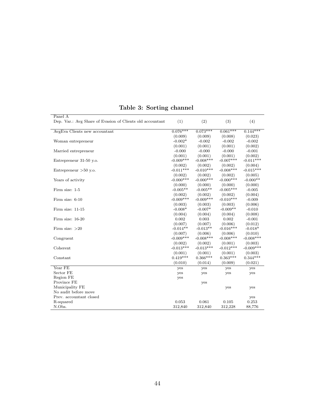| Panel A                                                   |             |              |              |             |
|-----------------------------------------------------------|-------------|--------------|--------------|-------------|
| Dep. Var.: Avg Share of Evasion of Clients old accountant | (1)         | (2)          | (3)          | (4)         |
| AvgEva Clients new accountant                             | $0.076***$  | $0.073***$   | $0.061***$   | $0.144***$  |
|                                                           | (0.009)     | (0.009)      | (0.008)      | (0.023)     |
| Woman entrepreneur                                        | $-0.002*$   | $-0.002$     | $-0.002$     | $-0.002$    |
|                                                           | (0.001)     | (0.001)      | (0.001)      | (0.002)     |
| Married entrepreneur                                      | $-0.000$    | $-0.000$     | $-0.000$     | $-0.001$    |
|                                                           | (0.001)     | (0.001)      | (0.001)      | (0.002)     |
| Entrepreneur 31-50 y.o.                                   | $-0.009***$ | $-0.008***$  | $-0.007***$  | $-0.011***$ |
|                                                           | (0.002)     | (0.002)      | (0.002)      | (0.004)     |
| Entrepreneur $>50$ y.o.                                   | $-0.011***$ | $-0.010***$  | $-0.008$ *** | $-0.015***$ |
|                                                           | (0.002)     | (0.002)      | (0.002)      | (0.005)     |
| Years of activity                                         | $-0.000***$ | $-0.000$ *** | $-0.000***$  | $-0.000**$  |
|                                                           | (0.000)     | (0.000)      | (0.000)      | (0.000)     |
| Firm size: 1-5                                            | $-0.005**$  | $-0.005**$   | $-0.005***$  | $-0.005$    |
|                                                           | (0.002)     | (0.002)      | (0.002)      | (0.004)     |
| Firm size: 6-10                                           | $-0.009***$ | $-0.009***$  | $-0.010***$  | $-0.009$    |
|                                                           | (0.003)     | (0.003)      | (0.003)      | (0.006)     |
| Firm size: 11-15                                          | $-0.008*$   | $-0.007*$    | $-0.009**$   | $-0.010$    |
|                                                           | (0.004)     | (0.004)      | (0.004)      | (0.008)     |
| Firm size: 16-20                                          | 0.002       | 0.003        | 0.002        | $-0.001$    |
|                                                           | (0.007)     | (0.007)      | (0.006)      | (0.012)     |
| Firm size: $>20$                                          | $-0.014**$  | $-0.013**$   | $-0.016***$  | $-0.018*$   |
|                                                           | (0.007)     | (0.006)      | (0.006)      | (0.010)     |
| Congruent                                                 | $-0.009***$ | $-0.008***$  | $-0.008***$  | $-0.008***$ |
|                                                           | (0.002)     | (0.002)      | (0.001)      | (0.003)     |
| Coherent                                                  | $-0.013***$ | $-0.013***$  | $-0.012***$  | $-0.009***$ |
|                                                           | (0.001)     | (0.001)      | (0.001)      | (0.003)     |
| Constant                                                  | $0.419***$  | $0.366***$   | $0.363***$   | $0.344***$  |
|                                                           | (0.010)     | (0.014)      | (0.009)      | (0.021)     |
| Year FE                                                   | yes         | yes          | yes          | yes         |
| Sector FE                                                 | yes         | yes          | yes          | yes         |
| Region FE                                                 | yes         |              |              |             |
| Province FE                                               |             | yes          |              |             |
| Municipality FE                                           |             |              | yes          | yes         |
| No audit before move                                      |             |              |              |             |
| Prev. accountant closed                                   |             |              |              | yes         |
| R-squared                                                 | 0.053       | 0.061        | 0.105        | 0.253       |
| N.Obs.                                                    | 312,840     | 312,840      | 312.228      | 88,776      |

## Table 3: Sorting channel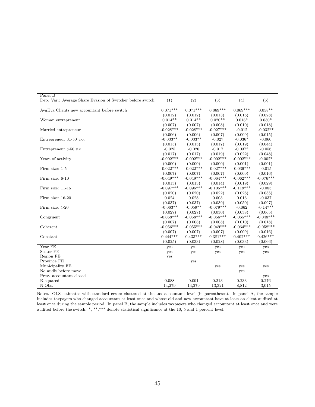| Panel B                                                    |             |             |             |             |             |
|------------------------------------------------------------|-------------|-------------|-------------|-------------|-------------|
| Dep. Var.: Average Share Evasion of Switcher before switch | (1)         | (2)         | (3)         | (4)         | (5)         |
| AvgEva Clients new accountant before switch                | $0.071***$  | $0.071***$  | $0.069***$  | $0.069***$  | $0.058**$   |
|                                                            | (0.012)     | (0.012)     | (0.013)     | (0.016)     | (0.028)     |
| Woman entrepreneur                                         | $0.014**$   | $0.014**$   | $0.020**$   | $0.018*$    | $0.030*$    |
|                                                            | (0.007)     | (0.007)     | (0.008)     | (0.010)     | (0.018)     |
| Married entrepreneur                                       | $-0.028***$ | $-0.028***$ | $-0.027***$ | $-0.012$    | $-0.032**$  |
|                                                            | (0.006)     | (0.006)     | (0.007)     | (0.009)     | (0.015)     |
| Entrepreneur 31-50 y.o.                                    | $-0.033**$  | $-0.033**$  | $-0.027$    | $-0.036*$   | $-0.060$    |
|                                                            | (0.015)     | (0.015)     | (0.017)     | (0.019)     | (0.044)     |
| Entrepreneur $>50$ y.o.                                    | $-0.025$    | $-0.026$    | $-0.017$    | $-0.037*$   | $-0.056$    |
|                                                            | (0.017)     | (0.017)     | (0.019)     | (0.022)     | (0.048)     |
| Years of activity                                          | $-0.002***$ | $-0.002***$ | $-0.002***$ | $-0.002***$ | $-0.002*$   |
|                                                            | (0.000)     | (0.000)     | (0.000)     | (0.001)     | (0.001)     |
| Firm size: 1-5                                             | $-0.022***$ | $-0.022***$ | $-0.027***$ | $-0.039***$ | $-0.015$    |
|                                                            | (0.007)     | (0.007)     | (0.007)     | (0.009)     | (0.016)     |
| Firm size: 6-10                                            | $-0.049***$ | $-0.049***$ | $-0.064***$ | $-0.062***$ | $-0.076***$ |
|                                                            | (0.013)     | (0.013)     | (0.014)     | (0.019)     | (0.029)     |
| Firm size: 11-15                                           | $-0.097***$ | $-0.096***$ | $-0.105***$ | $-0.119***$ | $-0.083$    |
|                                                            | (0.020)     | (0.020)     | (0.022)     | (0.028)     | (0.055)     |
| Firm size: 16-20                                           | 0.024       | 0.028       | 0.003       | 0.016       | $-0.037$    |
|                                                            | (0.037)     | (0.037)     | (0.039)     | (0.050)     | (0.097)     |
| Firm size: $>20$                                           | $-0.063**$  | $-0.059**$  | $-0.079***$ | $-0.062$    | $-0.147**$  |
|                                                            | (0.027)     | (0.027)     | (0.030)     | (0.038)     | (0.065)     |
| Congruent                                                  | $-0.058***$ | $-0.058***$ | $-0.056***$ | $-0.065***$ | $-0.048***$ |
|                                                            | (0.007)     | (0.008)     | (0.008)     | (0.010)     | (0.018)     |
| Coherent                                                   | $-0.056***$ | $-0.055***$ | $-0.049***$ | $-0.064***$ | $-0.058***$ |
|                                                            | (0.007)     | (0.007)     | (0.007)     | (0.009)     | (0.016)     |
| Constant                                                   | $0.444***$  | $0.433***$  | $0.381***$  | $0.402***$  | $0.426***$  |
|                                                            | (0.025)     | (0.033)     | (0.028)     | (0.033)     | (0.066)     |
| Year FE                                                    | yes         | yes         | yes         | yes         | yes         |
| Sector FE                                                  | yes         | yes         | yes         | yes         | yes         |
| Region FE                                                  | yes         |             |             |             |             |
| Province FE                                                |             | yes         |             |             |             |
| Municipality FE                                            |             |             | yes         | yes         | yes         |
| No audit before move                                       |             |             |             | yes         |             |
| Prev. accountant closed                                    |             |             |             |             | yes         |
| R-squared                                                  | 0.088       | 0.091       | 0.213       | 0.233       | 0.276       |
| N.Obs.                                                     | 14,279      | 14,279      | 13,321      | 8,812       | 3,015       |

Notes. OLS estimates with standard errors clustered at the tax accountant level (in parentheses). In panel A, the sample includes taxpayers who changed accountant at least once and whose old and new accountant have at least on client audited at least once during the sample period. In panel B, the sample includes taxpayers who changed accountant at least once and were audited before the switch. \*, \*\*,\*\*\* denote statistical significance at the 10, 5 and 1 percent level.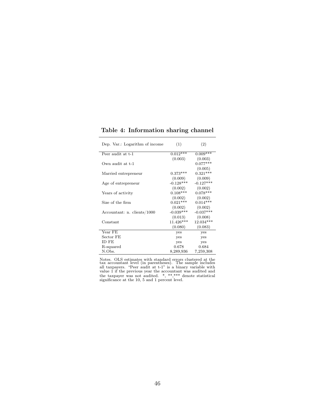| Dep. Var.: Logarithm of income | (1)         | (2)         |
|--------------------------------|-------------|-------------|
| Peer audit at t-1              | $0.012***$  | $0.009***$  |
|                                | (0.003)     | (0.003)     |
| Own audit at t-1               |             | $0.077***$  |
|                                |             | (0.005)     |
| Married entrepreneur           | $0.373***$  | $0.321***$  |
|                                | (0.009)     | (0.009)     |
| Age of entrepreneur            | $-0.128***$ | $-0.127***$ |
|                                | (0.002)     | (0.002)     |
| Years of activity              | $0.108***$  | $0.078***$  |
|                                | (0.002)     | (0.002)     |
| Size of the firm               | $0.021***$  | $0.014***$  |
|                                | (0.002)     | (0.002)     |
| Accountant: n. clients/1000    | $-0.039***$ | $-0.037***$ |
|                                | (0.013)     | (0.008)     |
| Constant                       | 11.426***   | 12.034***   |
|                                | (0.080)     | (0.083)     |
| Year FE                        | yes         | yes         |
| Sector FE                      | yes         | yes         |
| ID FE                          | yes         | yes         |
| R-squared                      | 0.678       | 0.684       |
| N.Obs.                         | 8,289,936   | 7,259,308   |

Table 4: Information sharing channel

Notes. OLS estimates with standard errors clustered at the tax accountant level (in parentheses). The sample includes all taxpayers. "Peer audit at t-1" is a binary variable with value 1 if the previous year the accountant was audited and the taxpayer was not audited. \*, \*\*,\*\*\* denote statistical significance at the 10, 5 and 1 percent level.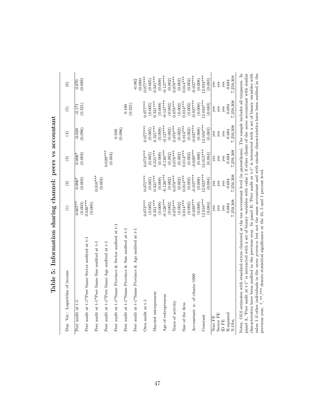| Dep. Var.: Logarithm of income                                                                                                          | $\widehat{\Xi}$        | $\widehat{2}$          | $\widehat{\mathcal{E}}$ | $\bigoplus$           | $\widehat{5}$          | $\odot$                  |
|-----------------------------------------------------------------------------------------------------------------------------------------|------------------------|------------------------|-------------------------|-----------------------|------------------------|--------------------------|
| Peer audit at t-1                                                                                                                       | $0.007**$              | $0.006^*$              | $0.006*$                | $-0.029$              | $-0.171$               | 0.070                    |
| Peer audit at t-1*Peer Same Sector audited at t-1                                                                                       | $0.026***$<br>(0.003)  | (0.003)                | (0.003)                 | (0.096)               | (0.321)                | (0.089)                  |
| Peer audit at t-1*Peer Same Size audited at t-1                                                                                         | (0.005)                | $0.010***$             |                         |                       |                        |                          |
| Peer audit at t-1*Peer Same Age audited at t-1                                                                                          |                        | (0.004)                | $0.028***$<br>(0.004)   |                       |                        |                          |
| Peer audit at t-1*Same Province & Sector audited at t-1                                                                                 |                        |                        |                         | (0.096)<br>0.038      |                        |                          |
| Peer audit at t-1*Same Province & Size audited at t-1                                                                                   |                        |                        |                         |                       | (0.321)<br>0.180       |                          |
| Peer audit at t-1*Same Province & Age audited at t-1                                                                                    |                        |                        |                         |                       |                        | $-0.062$                 |
| Own audit at $t-1$                                                                                                                      | $0.073***$             | $0.075***$             | $0.073***$              | $0.077***$            | $0.077***$             | $0.077***$<br>(0.089)    |
|                                                                                                                                         | (0.005)                | (0.005)                | (0.005)                 | (0.005)               | (0.005)                | (0.005)                  |
| Married entrepreneur                                                                                                                    | $0.321***$             | $0.321***$             | $0.321***$              | $0.321***$            | $0.321***$             | $0.321***$               |
| Age of entrepreneur                                                                                                                     | $-0.126***$<br>(0.009) | $0.126***$<br>(0.009)  | $0.126***$<br>(0.009)   | $0.127***$<br>(0.009) | $-0.127***$<br>(0.009) | $0.127***$<br>(0.009)    |
|                                                                                                                                         | (0.002)                | (0.002)                | (0.002)                 | (0.002)               | (0.002)                | (0.002)                  |
| Years of activity                                                                                                                       | $0.078***$             | $0.078***$             | $0.078***$              | $0.078***$            | $0.078***$             | $0.078***$               |
|                                                                                                                                         | $0.014***$<br>(0.002)  | $0.014***$<br>(0.002)  | $0.014***$<br>(0.002)   | $0.014***$<br>(0.002) | $0.014***$<br>(0.002)  | $0.014***$<br>(0.002)    |
| Size of the firm                                                                                                                        | (0.002)                | (0.002)                | (0.002)                 | (0.002)               | (0.002)                |                          |
| Accountant: n. of clients/1000                                                                                                          | $-0.039***$            | $0.037***$             | $-0.039***$             | $0.037***$            | $-0.037***$            | $(0.002)$<br>$-0.037***$ |
|                                                                                                                                         | (0.008)                | (0.008)                | (0.008)                 | $2.034***$<br>(0.008) | $12.034***$<br>(0.008) | (0.008)                  |
| Constant                                                                                                                                | $12.016***$<br>(0.084) | $12.023***$<br>(0.084) | $2.013***$<br>(0.084)   | (0.083)               | (0.083)                | $2.034***$<br>(0.083)    |
| Year FE                                                                                                                                 | yes                    | yes                    | yes                     | yes                   | yes                    | yes                      |
| Sector FE                                                                                                                               | yes                    | yes                    | yes                     | yes                   | yes                    | yes                      |
| ID FE                                                                                                                                   | yes                    | yes                    | yes                     | yes                   | yes                    | yes                      |
| R-squared                                                                                                                               | 0.684                  | 0.684                  | 0.684                   | 0.684                 | 0.684                  | 0.684                    |
| N.Obs.                                                                                                                                  | 7,259,308              | 7,259,308              | 7,259,308               | 7,259,308             | 7,259,308              | 7,259,308                |
| Notes. OLS estimates with standard errors clustered at the tax accountant level (in parentheses). The sample includes all taxpayers. In |                        |                        |                         |                       |                        |                          |

Table 5: Information sharing channel: peers vs accountant Table 5: Information sharing channel: peers vs accountant panel A, "Peer audit at  $t$ -1" is interacted with a set of binary variables with value 1 if other clients of the *same* accountant with similar characteristics have been audited in the previous year. In panel B, "Peer aud panel A, "Peer audit at t-1" is interacted with a set of binary variables with value 1 if other clients of the same accountant with similar characteristics have been audited in the previous year. In panel B, "Peer audit at  $t-1$ " is interacted with a set of binary variables with value 1 if other individuals in the same province but not the same accountant and with similar characteristics have been audited in the previous year. \*, \*\*,\*\*\* denote statistical significance at the 10, 5 and 1 percent level.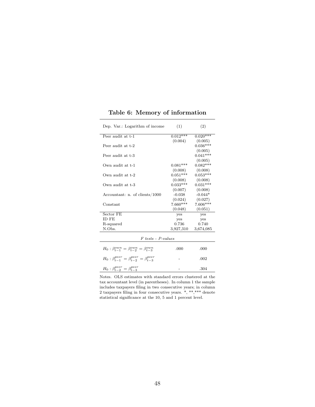| Dep. Var.: Logarithm of income                                      | (1)        | (2)        |
|---------------------------------------------------------------------|------------|------------|
| Peer audit at t-1                                                   | $0.012***$ | $0.020***$ |
|                                                                     | (0.004)    | (0.005)    |
| Peer audit at t-2                                                   |            | $0.036***$ |
|                                                                     |            | (0.005)    |
| Peer audit at t-3                                                   |            | $0.041***$ |
|                                                                     |            | (0.005)    |
| Own audit at t-1                                                    | $0.081***$ | $0.082***$ |
|                                                                     | (0.008)    | (0.008)    |
| Own audit at t-2                                                    | $0.051***$ | $0.053***$ |
|                                                                     | (0.008)    | (0.008)    |
| Own audit at t-3                                                    | $0.033***$ | $0.031***$ |
|                                                                     | (0.007)    | (0.008)    |
| Accountant: n. of clients/1000                                      | $-0.038$   | $-0.044*$  |
|                                                                     | (0.024)    | (0.027)    |
| Constant                                                            | $7.660***$ | $7.606***$ |
|                                                                     | (0.048)    | (0.051)    |
| Sector FE                                                           | yes        | yes        |
| <b>ID FE</b>                                                        | yes        | yes        |
| R-squared                                                           | 0.736      | 0.740      |
| N.Obs.                                                              | 3,927,310  | 3,674,085  |
| $F$ tests - P-values                                                |            |            |
|                                                                     |            |            |
| $H_0: \beta_{t-1}^{own} = \beta_{t-2}^{own} = \beta_{t-3}^{own}$    | .000       | .000       |
| $H_0: \beta_{t-1}^{peer} = \beta_{t-2}^{peer} = \beta_{t-3}^{peer}$ |            | .002       |
| $H_0: \beta_{t-2}^{peer} = \beta_{t-3}^{peer}$                      |            | .304       |

Table 6: Memory of information

Notes. OLS estimates with standard errors clustered at the tax accountant level (in parentheses). In column 1 the sample includes taxpayers filing in two consecutive years; in column 2 taxpayers filing in four consecutive years. \*, \*\*,\*\*\* denote statistical significance at the 10, 5 and 1 percent level.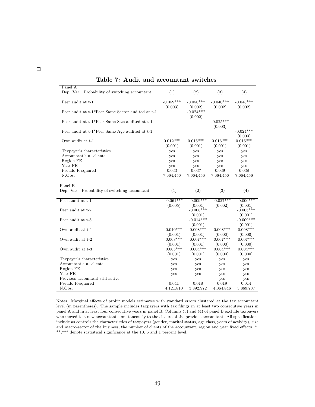| Panel A                                           |             |                        |             |                        |
|---------------------------------------------------|-------------|------------------------|-------------|------------------------|
| Dep. Var.: Probability of switching accountant    | (1)         | (2)                    | (3)         | (4)                    |
|                                                   |             |                        |             |                        |
| Peer audit at t-1                                 | $-0.059***$ | $-0.050***$            | $-0.040***$ | $-0.048***$            |
|                                                   | (0.003)     | (0.002)                | (0.002)     | (0.002)                |
| Peer audit at t-1*Peer Same Sector audited at t-1 |             | $-0.024***$            |             |                        |
|                                                   |             | (0.002)                |             |                        |
| Peer audit at t-1*Peer Same Size audited at t-1   |             |                        | $-0.025***$ |                        |
|                                                   |             |                        | (0.003)     |                        |
| Peer audit at t-1*Peer Same Age audited at t-1    |             |                        |             | $-0.024***$            |
|                                                   |             |                        |             | (0.003)                |
| Own audit at t-1                                  | $0.012***$  | $0.016***$             | $0.016***$  | $0.016***$             |
|                                                   | (0.001)     | (0.001)                | (0.001)     | (0.001)                |
| Taxpayer's characteristics                        | yes         | yes                    | yes         | yes                    |
| Accountant's n. clients                           | yes         | yes                    | yes         | yes                    |
| Region FE                                         | yes         | yes                    | yes         | yes                    |
| Year FE                                           | yes         | yes                    | yes         | yes                    |
| Pseudo R-squared                                  | 0.033       | 0.037                  | 0.039       | 0.038                  |
| N.Obs.                                            | 7,664,456   | 7,664,456              | 7,664,456   | 7,664,456              |
|                                                   |             |                        |             |                        |
| Panel B                                           |             |                        |             |                        |
| Dep. Var.: Probability of switching accountant    | (1)         | (2)                    | (3)         | (4)                    |
|                                                   |             |                        |             |                        |
| Peer audit at t-1                                 | $-0.061***$ | $-0.009***$            | $-0.027***$ | $-0.006***$            |
|                                                   | (0.005)     |                        |             |                        |
| Peer audit at t-2                                 |             | (0.001)<br>$-0.008***$ | (0.002)     | (0.001)<br>$-0.005***$ |
|                                                   |             |                        |             |                        |
|                                                   |             | (0.001)                |             | (0.001)                |
| Peer audit at t-3                                 |             | $-0.014***$            |             | $-0.009***$            |
|                                                   |             | (0.001)                |             | (0.001)                |
| Own audit at t-1                                  | $0.010***$  | $0.008***$             | $0.008***$  | $0.008***$             |
|                                                   | (0.001)     | (0.001)                | (0.000)     | (0.000)                |
| Own audit at t-2                                  | $0.008***$  | $0.007***$             | $0.007***$  | $0.007***$             |
|                                                   | (0.001)     | (0.001)                | (0.000)     | (0.000)                |
| Own audit at t-3                                  | $0.005***$  | $0.004***$             | $0.004***$  | $0.004***$             |
|                                                   | (0.001)     | (0.001)                | (0.000)     | (0.000)                |
| Taxpayer's characteristics                        | yes         | yes                    | yes         | yes                    |
| Accountant's n. clients                           | yes         | yes                    | yes         | yes                    |
| Region FE                                         | yes         | yes                    | yes         | yes                    |
| Year FE                                           | yes         | yes                    | yes         | yes                    |
| Previous accountant still active                  |             |                        | yes         | yes                    |
| Pseudo R-squared                                  | 0.041       | 0.018                  | 0.019       | 0.014                  |
| N.Obs.                                            | 4,121,810   | 3,892,972              | 4,064,846   | 3,869,737              |

#### Table 7: Audit and accountant switches

Notes. Marginal effects of probit models estimates with standard errors clustered at the tax accountant level (in parentheses). The sample includes taxpayers with tax filings in at least two consecutive years in panel A and in at least four consecutive years in panel B. Columns (3) and (4) of panel B exclude taxpayers who moved to a new accountant simultaneously to the closure of the previous accountant. All specifications include as controls the characteristics of taxpayers (gender, marital status, age class, years of activity), size and macro-sector of the business, the number of clients of the accountant, region and year fixed effects. \*, \*\*,\*\*\* denote statistical significance at the 10, 5 and 1 percent level.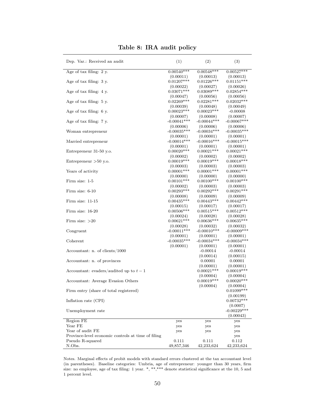| Dep. Var.: Received an audit                       | (1)                        | (2)                       | (3)                        |
|----------------------------------------------------|----------------------------|---------------------------|----------------------------|
| Age of tax filing: 2 y.                            | $0.00540***$               | $0.00548***$              | $0.00527***$               |
|                                                    | (0.00011)                  | (0.00013)                 | (0.00013)                  |
| Age of tax filing: 3 y.                            | $0.01207***$               | $0.01226***$              | $0.01151***$               |
|                                                    | (0.00022)                  | (0.00027)                 | (0.00026)                  |
| Age of tax filing: 4 y.                            | $0.03071***$               | $0.03089***$              | $0.02854***$               |
|                                                    | (0.00047)                  | (0.00056)                 | (0.00056)                  |
| Age of tax filing: 5 y.                            | $0.02269***$               | $0.02281***$              | $0.02032***$               |
|                                                    | (0.00039)                  | (0.00048)                 | (0.00049)                  |
| Age of tax filing: $6 \text{ y}$ .                 | $0.00023***$               | $0.00023***$              | $-0.00008$                 |
|                                                    | (0.00007)                  | (0.00008)                 | (0.00007)                  |
| Age of tax filing: 7 y.                            | $-0.00041***$              | $-0.00044***$             | $-0.00067***$              |
|                                                    | (0.00006)                  | (0.00006)                 | (0.00006)                  |
| Woman entrepreneur                                 | $-0.00035***$              | $-0.00034***$             | $-0.00035***$              |
|                                                    | (0.00001)                  | (0.00001)                 | (0.00001)                  |
| Married entrepreneur                               | $-0.00014***$              | $-0.00016$ ***            | $-0.00015***$              |
|                                                    | (0.00001)<br>$0.00020**$   | (0.00001)                 | (0.00001)                  |
| Entrepreneur 31-50 y.o.                            |                            | $0.00021***$              | $0.00021***$               |
|                                                    | (0.00002)<br>$0.00019***$  | (0.00002)<br>$0.00019***$ | (0.00002)<br>$0.00018***$  |
| Entrepreneur $>50$ y.o.                            |                            |                           |                            |
|                                                    | (0.00003)<br>$0.00001$ *** | (0.00003)<br>$0.00001***$ | (0.00003)<br>$0.00001$ *** |
| Years of activity                                  | (0.00000)                  | (0.00000)                 | (0.00000)                  |
| Firm size: 1-5                                     | $0.00101***$               | $0.00100***$              | $0.00100***$               |
|                                                    | (0.00002)                  | (0.00003)                 | (0.00003)                  |
| Firm size: 6-10                                    | $0.00293***$               | $0.00292***$              | $0.00291***$               |
|                                                    | (0.00008)                  | (0.00009)                 | (0.00009)                  |
| Firm size: $11-15$                                 | $0.00435***$               | $0.00443***$              | $0.00442***$               |
|                                                    | (0.00015)                  | (0.00017)                 | (0.00017)                  |
| Firm size: 16-20                                   | $0.00506***$               | $0.00515***$              | $0.00512***$               |
|                                                    | (0.00024)                  | (0.00028)                 | (0.00028)                  |
| Firm size: $>20$                                   | $0.00621***$               | $0.00636***$              | $0.00635***$               |
|                                                    | (0.00028)                  | (0.00032)                 | (0.00032)                  |
| Congruent                                          | $-0.00011***$              | $-0.00010***$             | $-0.00009***$              |
|                                                    | (0.00001)                  | (0.00001)                 | (0.00001)                  |
| Coherent                                           | $-0.00035***$              | $-0.00034***$             | $-0.00034***$              |
|                                                    | (0.00001)                  | (0.00001)                 | (0.00001)                  |
| Accountant: n. of clients/1000                     |                            | $-0.00014$                | $-0.00014$                 |
|                                                    |                            | (0.00014)                 | (0.00015)                  |
| Accountant: n. of provinces                        |                            | 0.00001                   | 0.00001                    |
|                                                    |                            | (0.00001)                 | (0.00001)                  |
| Accountant: evaders/audited up to $t-1$            |                            | $0.00021***$              | $0.00019***$               |
|                                                    |                            | (0.00004)                 | (0.00004)                  |
| Accountant: Average Evasion Others                 |                            | $0.00019***$              | $0.00020***$               |
|                                                    |                            | (0.00004)                 | (0.00004)                  |
| Firm entry (share of total registered)             |                            |                           | $0.01099***$               |
| Inflation rate (CPI)                               |                            |                           | (0.00199)<br>$0.00732***$  |
|                                                    |                            |                           | (0.0007)                   |
| Unemployment rate                                  |                            |                           | $-0.00229***$              |
|                                                    |                            |                           | (0.00043)                  |
| Region FE                                          | yes                        | yes                       | yes                        |
| Year FE                                            | yes                        | yes                       | yes                        |
| Year of audit FE                                   | yes                        | yes                       | yes                        |
| Province-level economic controls at time of filing |                            |                           | yes                        |
| Pseudo R-squared                                   | 0.111                      | 0.111                     | 0.112                      |
| N.Obs.                                             | 49,857,346                 | 42,233,624                | 42,233,624                 |

Table 8: IRA audit policy

Notes. Marginal effects of probit models with standard errors clustered at the tax accountant level (in parentheses). Baseline categories: Umbria, age of entrepreneur: younger than 30 years, firm size: no employee, age of tax filing: 1 year. \*, \*\*,\*\*\* denote statistical significance at the 10, 5 and 1 percent level.